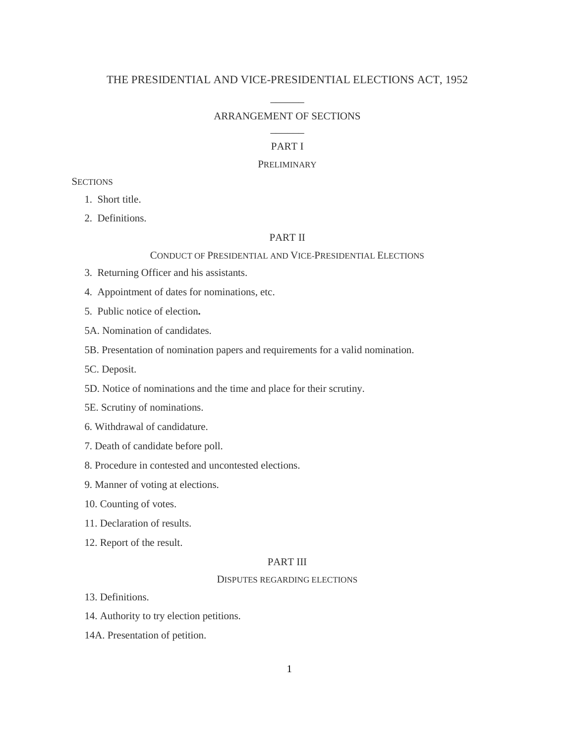## THE PRESIDENTIAL AND VICE-PRESIDENTIAL ELECTIONS ACT, 1952

# $\overline{\phantom{a}}$ ARRANGEMENT OF SECTIONS  $\overline{\phantom{a}}$

## PART I

#### PRELIMINARY

# **SECTIONS**

1. Short title.

2. Definitions.

## PART II

## CONDUCT OF PRESIDENTIAL AND VICE-PRESIDENTIAL ELECTIONS

- 3. Returning Officer and his assistants.
- 4. Appointment of dates for nominations, etc.
- 5. Public notice of election**.**
- 5A. Nomination of candidates.
- 5B. Presentation of nomination papers and requirements for a valid nomination.
- 5C. Deposit.
- 5D. Notice of nominations and the time and place for their scrutiny.
- 5E. Scrutiny of nominations.
- 6. Withdrawal of candidature.
- 7. Death of candidate before poll.
- 8. Procedure in contested and uncontested elections.
- 9. Manner of voting at elections.
- 10. Counting of votes.
- 11. Declaration of results.
- 12. Report of the result.

### PART III

#### DISPUTES REGARDING ELECTIONS

- 13. Definitions.
- 14. Authority to try election petitions.
- 14A. Presentation of petition.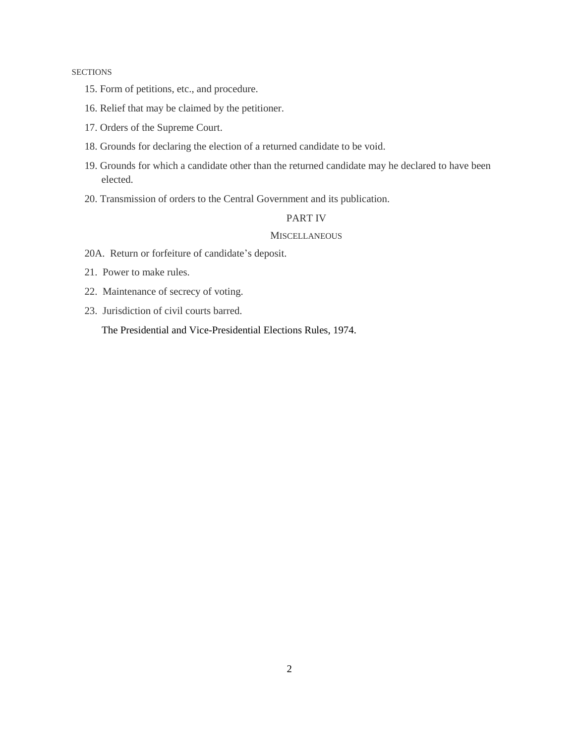### **SECTIONS**

- 15. Form of petitions, etc., and procedure.
- 16. Relief that may be claimed by the petitioner.
- 17. Orders of the Supreme Court.
- 18. Grounds for declaring the election of a returned candidate to be void.
- 19. Grounds for which a candidate other than the returned candidate may he declared to have been elected.
- 20. Transmission of orders to the Central Government and its publication.

## PART IV

### **MISCELLANEOUS**

- 20A. Return or forfeiture of candidate"s deposit.
- 21. Power to make rules.
- 22. Maintenance of secrecy of voting.
- 23. Jurisdiction of civil courts barred.

The Presidential and Vice-Presidential Elections Rules, 1974.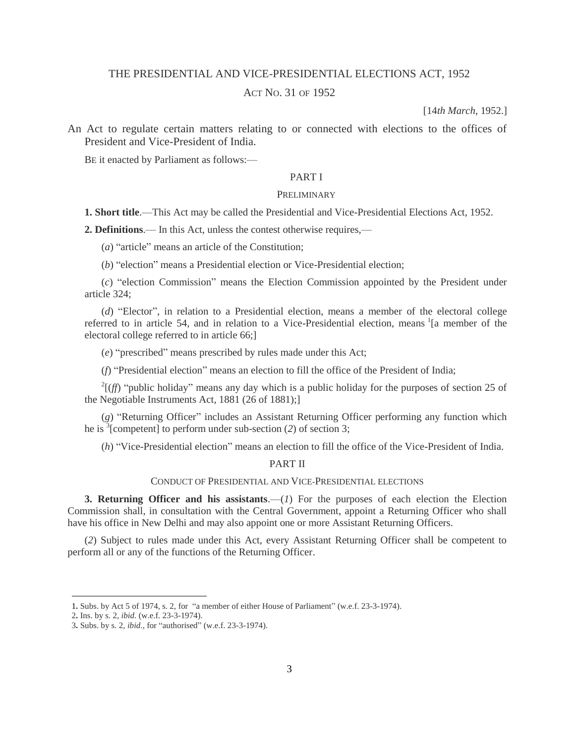# THE PRESIDENTIAL AND VICE-PRESIDENTIAL ELECTIONS ACT, 1952

# ACT NO. 31 OF 1952

[14*th March*, 1952.]

An Act to regulate certain matters relating to or connected with elections to the offices of President and Vice-President of India.

BE it enacted by Parliament as follows:—

## PART I

#### **PRELIMINARY**

**1. Short title**.—This Act may be called the Presidential and Vice-Presidential Elections Act, 1952.

**2. Definitions**.— In this Act, unless the contest otherwise requires,—

(*a*) "article" means an article of the Constitution;

(*b*) "election" means a Presidential election or Vice-Presidential election;

(*c*) "election Commission" means the Election Commission appointed by the President under article 324;

(*d*) "Elector", in relation to a Presidential election, means a member of the electoral college referred to in article 54, and in relation to a Vice-Presidential election, means <sup>1</sup>[a member of the electoral college referred to in article 66;]

(*e*) "prescribed" means prescribed by rules made under this Act;

(*f*) "Presidential election" means an election to fill the office of the President of India;

 $^{2}$ [(*ff*) "public holiday" means any day which is a public holiday for the purposes of section 25 of the Negotiable Instruments Act, 1881 (26 of 1881);]

(*g*) "Returning Officer" includes an Assistant Returning Officer performing any function which he is  $\frac{3}{3}$ [competent] to perform under sub-section (2) of section 3;

(*h*) "Vice-Presidential election" means an election to fill the office of the Vice-President of India.

PART II

## CONDUCT OF PRESIDENTIAL AND VICE-PRESIDENTIAL ELECTIONS

**3. Returning Officer and his assistants**.—(*1*) For the purposes of each election the Election Commission shall, in consultation with the Central Government, appoint a Returning Officer who shall have his office in New Delhi and may also appoint one or more Assistant Returning Officers.

(*2*) Subject to rules made under this Act, every Assistant Returning Officer shall be competent to perform all or any of the functions of the Returning Officer.

 $\overline{\phantom{a}}$ 

<sup>1</sup>**.** Subs. by Act 5 of 1974, s. 2, for "a member of either House of Parliament" (w.e.f. 23-3-1974).

<sup>2</sup>**.** Ins. by s. 2, *ibid*. (w.e.f. 23-3-1974).

<sup>3</sup>**.** Subs. by s. 2, *ibid*., for "authorised" (w.e.f. 23-3-1974).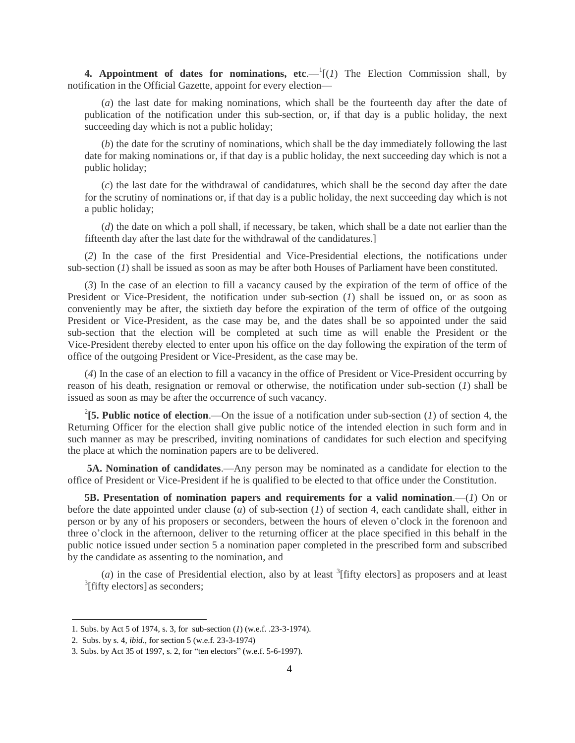**4. Appointment of dates for nominations, etc.**  $-\frac{1}{1}(1)$  The Election Commission shall, by notification in the Official Gazette, appoint for every election—

(*a*) the last date for making nominations, which shall be the fourteenth day after the date of publication of the notification under this sub-section, or, if that day is a public holiday, the next succeeding day which is not a public holiday;

(*b*) the date for the scrutiny of nominations, which shall be the day immediately following the last date for making nominations or, if that day is a public holiday, the next succeeding day which is not a public holiday;

(*c*) the last date for the withdrawal of candidatures, which shall be the second day after the date for the scrutiny of nominations or, if that day is a public holiday, the next succeeding day which is not a public holiday;

(*d*) the date on which a poll shall, if necessary, be taken, which shall be a date not earlier than the fifteenth day after the last date for the withdrawal of the candidatures.]

(*2*) In the case of the first Presidential and Vice-Presidential elections, the notifications under sub-section (*1*) shall be issued as soon as may be after both Houses of Parliament have been constituted.

(*3*) In the case of an election to fill a vacancy caused by the expiration of the term of office of the President or Vice-President, the notification under sub-section (*1*) shall be issued on, or as soon as conveniently may be after, the sixtieth day before the expiration of the term of office of the outgoing President or Vice-President, as the case may be, and the dates shall be so appointed under the said sub-section that the election will be completed at such time as will enable the President or the Vice-President thereby elected to enter upon his office on the day following the expiration of the term of office of the outgoing President or Vice-President, as the case may be.

(*4*) In the case of an election to fill a vacancy in the office of President or Vice-President occurring by reason of his death, resignation or removal or otherwise, the notification under sub-section (*1*) shall be issued as soon as may be after the occurrence of such vacancy.

<sup>2</sup>[5. Public notice of election.—On the issue of a notification under sub-section (*1*) of section 4, the Returning Officer for the election shall give public notice of the intended election in such form and in such manner as may be prescribed, inviting nominations of candidates for such election and specifying the place at which the nomination papers are to be delivered.

**5A. Nomination of candidates**.—Any person may be nominated as a candidate for election to the office of President or Vice-President if he is qualified to be elected to that office under the Constitution.

**5B. Presentation of nomination papers and requirements for a valid nomination**.—(*1*) On or before the date appointed under clause (*a*) of sub-section (*1*) of section 4, each candidate shall, either in person or by any of his proposers or seconders, between the hours of eleven o"clock in the forenoon and three o"clock in the afternoon, deliver to the returning officer at the place specified in this behalf in the public notice issued under section 5 a nomination paper completed in the prescribed form and subscribed by the candidate as assenting to the nomination, and

 $(a)$  in the case of Presidential election, also by at least  $\frac{3}{1}$  [fifty electors] as proposers and at least <sup>3</sup>[fifty electors] as seconders;

l

<sup>1.</sup> Subs. by Act 5 of 1974, s. 3, for sub-section (*1*) (w.e.f. .23-3-1974).

<sup>2.</sup> Subs. by s. 4, *ibid*., for section 5 (w.e.f. 23-3-1974)

<sup>3.</sup> Subs. by Act 35 of 1997, s. 2, for "ten electors" (w.e.f. 5-6-1997).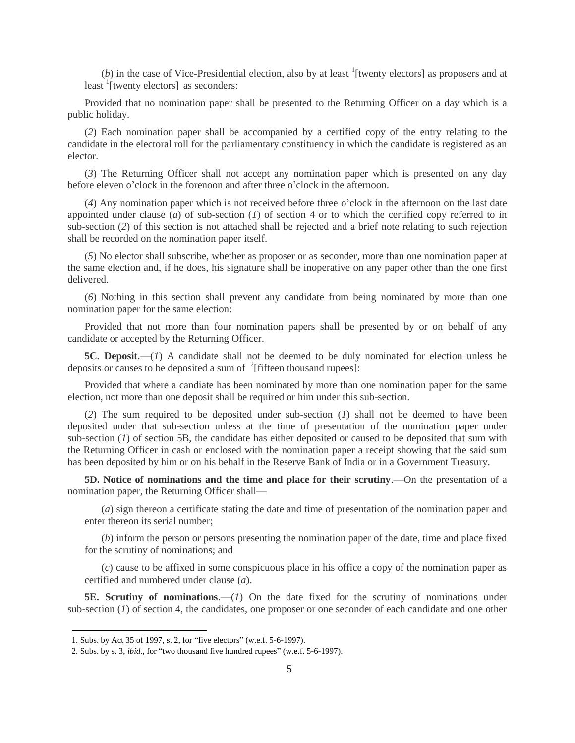$(b)$  in the case of Vice-Presidential election, also by at least  $\frac{1}{1}$  [twenty electors] as proposers and at least  $\frac{1}{2}$ [twenty electors] as seconders:

Provided that no nomination paper shall be presented to the Returning Officer on a day which is a public holiday.

(*2*) Each nomination paper shall be accompanied by a certified copy of the entry relating to the candidate in the electoral roll for the parliamentary constituency in which the candidate is registered as an elector.

(*3*) The Returning Officer shall not accept any nomination paper which is presented on any day before eleven o"clock in the forenoon and after three o"clock in the afternoon.

(*4*) Any nomination paper which is not received before three o"clock in the afternoon on the last date appointed under clause (*a*) of sub-section (*1*) of section 4 or to which the certified copy referred to in sub-section (*2*) of this section is not attached shall be rejected and a brief note relating to such rejection shall be recorded on the nomination paper itself.

(*5*) No elector shall subscribe, whether as proposer or as seconder, more than one nomination paper at the same election and, if he does, his signature shall be inoperative on any paper other than the one first delivered.

(*6*) Nothing in this section shall prevent any candidate from being nominated by more than one nomination paper for the same election:

Provided that not more than four nomination papers shall be presented by or on behalf of any candidate or accepted by the Returning Officer.

**5C. Deposit.**—(*1*) A candidate shall not be deemed to be duly nominated for election unless he deposits or causes to be deposited a sum of  $2$ [fifteen thousand rupees]:

Provided that where a candiate has been nominated by more than one nomination paper for the same election, not more than one deposit shall be required or him under this sub-section.

(*2*) The sum required to be deposited under sub-section (*1*) shall not be deemed to have been deposited under that sub-section unless at the time of presentation of the nomination paper under sub-section (*1*) of section 5B, the candidate has either deposited or caused to be deposited that sum with the Returning Officer in cash or enclosed with the nomination paper a receipt showing that the said sum has been deposited by him or on his behalf in the Reserve Bank of India or in a Government Treasury.

**5D. Notice of nominations and the time and place for their scrutiny**.—On the presentation of a nomination paper, the Returning Officer shall—

(*a*) sign thereon a certificate stating the date and time of presentation of the nomination paper and enter thereon its serial number;

(*b*) inform the person or persons presenting the nomination paper of the date, time and place fixed for the scrutiny of nominations; and

(*c*) cause to be affixed in some conspicuous place in his office a copy of the nomination paper as certified and numbered under clause (*a*).

**5E. Scrutiny of nominations**.—(*1*) On the date fixed for the scrutiny of nominations under sub-section (*1*) of section 4, the candidates, one proposer or one seconder of each candidate and one other

 $\overline{\phantom{a}}$ 

<sup>1.</sup> Subs. by Act 35 of 1997, s. 2, for "five electors" (w.e.f. 5-6-1997).

<sup>2.</sup> Subs. by s. 3, *ibid.,* for "two thousand five hundred rupees" (w.e.f. 5-6-1997).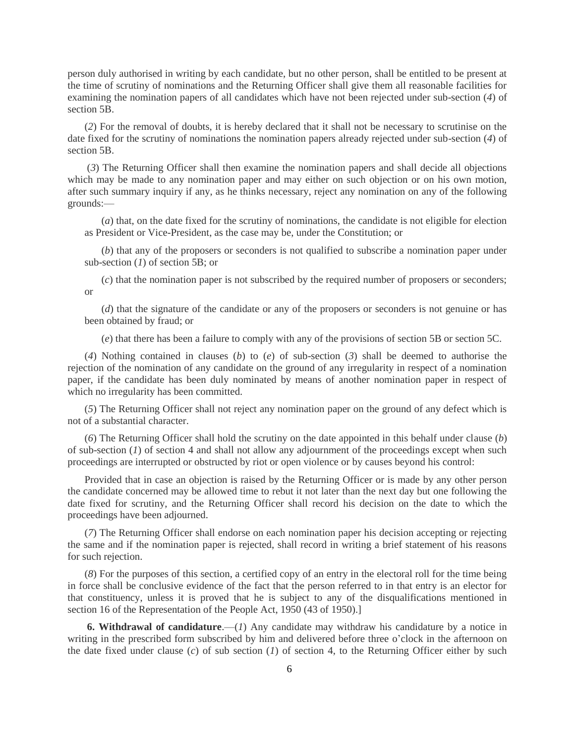person duly authorised in writing by each candidate, but no other person, shall be entitled to be present at the time of scrutiny of nominations and the Returning Officer shall give them all reasonable facilities for examining the nomination papers of all candidates which have not been rejected under sub-section (*4*) of section 5B.

(*2*) For the removal of doubts, it is hereby declared that it shall not be necessary to scrutinise on the date fixed for the scrutiny of nominations the nomination papers already rejected under sub-section (*4*) of section 5B.

(*3*) The Returning Officer shall then examine the nomination papers and shall decide all objections which may be made to any nomination paper and may either on such objection or on his own motion, after such summary inquiry if any, as he thinks necessary, reject any nomination on any of the following grounds:—

(*a*) that, on the date fixed for the scrutiny of nominations, the candidate is not eligible for election as President or Vice-President, as the case may be, under the Constitution; or

(*b*) that any of the proposers or seconders is not qualified to subscribe a nomination paper under sub-section (*1*) of section 5B; or

(*c*) that the nomination paper is not subscribed by the required number of proposers or seconders; or

(*d*) that the signature of the candidate or any of the proposers or seconders is not genuine or has been obtained by fraud; or

(*e*) that there has been a failure to comply with any of the provisions of section 5B or section 5C.

(*4*) Nothing contained in clauses (*b*) to (*e*) of sub-section (*3*) shall be deemed to authorise the rejection of the nomination of any candidate on the ground of any irregularity in respect of a nomination paper, if the candidate has been duly nominated by means of another nomination paper in respect of which no irregularity has been committed.

(*5*) The Returning Officer shall not reject any nomination paper on the ground of any defect which is not of a substantial character.

(*6*) The Returning Officer shall hold the scrutiny on the date appointed in this behalf under clause (*b*) of sub-section (*1*) of section 4 and shall not allow any adjournment of the proceedings except when such proceedings are interrupted or obstructed by riot or open violence or by causes beyond his control:

Provided that in case an objection is raised by the Returning Officer or is made by any other person the candidate concerned may be allowed time to rebut it not later than the next day but one following the date fixed for scrutiny, and the Returning Officer shall record his decision on the date to which the proceedings have been adjourned.

(*7*) The Returning Officer shall endorse on each nomination paper his decision accepting or rejecting the same and if the nomination paper is rejected, shall record in writing a brief statement of his reasons for such rejection.

(*8*) For the purposes of this section, a certified copy of an entry in the electoral roll for the time being in force shall be conclusive evidence of the fact that the person referred to in that entry is an elector for that constituency, unless it is proved that he is subject to any of the disqualifications mentioned in section 16 of the Representation of the People Act, 1950 (43 of 1950).]

**6. Withdrawal of candidature**.—(*1*) Any candidate may withdraw his candidature by a notice in writing in the prescribed form subscribed by him and delivered before three o'clock in the afternoon on the date fixed under clause (*c*) of sub section (*1*) of section 4, to the Returning Officer either by such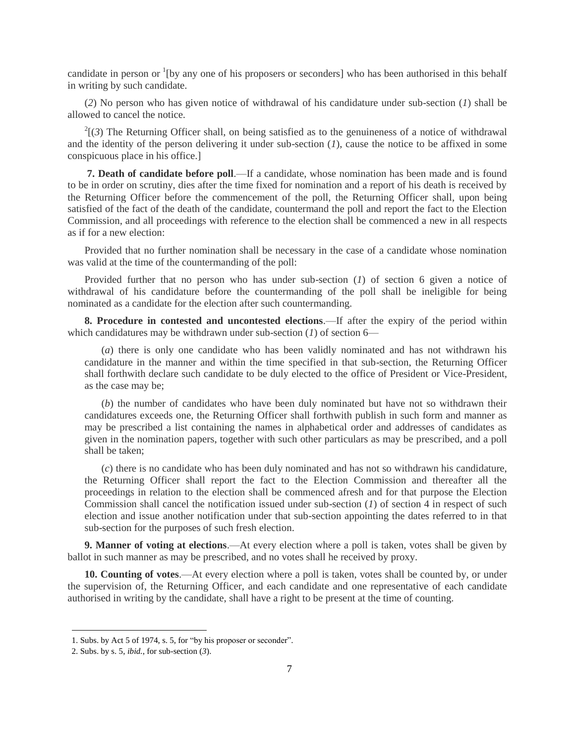candidate in person or <sup>1</sup>[by any one of his proposers or seconders] who has been authorised in this behalf in writing by such candidate.

(*2*) No person who has given notice of withdrawal of his candidature under sub-section (*1*) shall be allowed to cancel the notice.

 $^{2}$ [(3) The Returning Officer shall, on being satisfied as to the genuineness of a notice of withdrawal and the identity of the person delivering it under sub-section (*1*), cause the notice to be affixed in some conspicuous place in his office.]

**7. Death of candidate before poll**.—If a candidate, whose nomination has been made and is found to be in order on scrutiny, dies after the time fixed for nomination and a report of his death is received by the Returning Officer before the commencement of the poll, the Returning Officer shall, upon being satisfied of the fact of the death of the candidate, countermand the poll and report the fact to the Election Commission, and all proceedings with reference to the election shall be commenced a new in all respects as if for a new election:

Provided that no further nomination shall be necessary in the case of a candidate whose nomination was valid at the time of the countermanding of the poll:

Provided further that no person who has under sub-section (*1*) of section 6 given a notice of withdrawal of his candidature before the countermanding of the poll shall be ineligible for being nominated as a candidate for the election after such countermanding.

**8. Procedure in contested and uncontested elections**.—If after the expiry of the period within which candidatures may be withdrawn under sub-section (*1*) of section 6—

(*a*) there is only one candidate who has been validly nominated and has not withdrawn his candidature in the manner and within the time specified in that sub-section, the Returning Officer shall forthwith declare such candidate to be duly elected to the office of President or Vice-President, as the case may be;

(*b*) the number of candidates who have been duly nominated but have not so withdrawn their candidatures exceeds one, the Returning Officer shall forthwith publish in such form and manner as may be prescribed a list containing the names in alphabetical order and addresses of candidates as given in the nomination papers, together with such other particulars as may be prescribed, and a poll shall be taken;

(*c*) there is no candidate who has been duly nominated and has not so withdrawn his candidature, the Returning Officer shall report the fact to the Election Commission and thereafter all the proceedings in relation to the election shall be commenced afresh and for that purpose the Election Commission shall cancel the notification issued under sub-section (*1*) of section 4 in respect of such election and issue another notification under that sub-section appointing the dates referred to in that sub-section for the purposes of such fresh election.

**9. Manner of voting at elections**.—At every election where a poll is taken, votes shall be given by ballot in such manner as may be prescribed, and no votes shall he received by proxy.

**10. Counting of votes**.—At every election where a poll is taken, votes shall be counted by, or under the supervision of, the Returning Officer, and each candidate and one representative of each candidate authorised in writing by the candidate, shall have a right to be present at the time of counting.

 $\overline{\phantom{a}}$ 

<sup>1.</sup> Subs. by Act 5 of 1974, s. 5, for "by his proposer or seconder".

<sup>2.</sup> Subs. by s. 5, *ibid.*, for sub-section (*3*).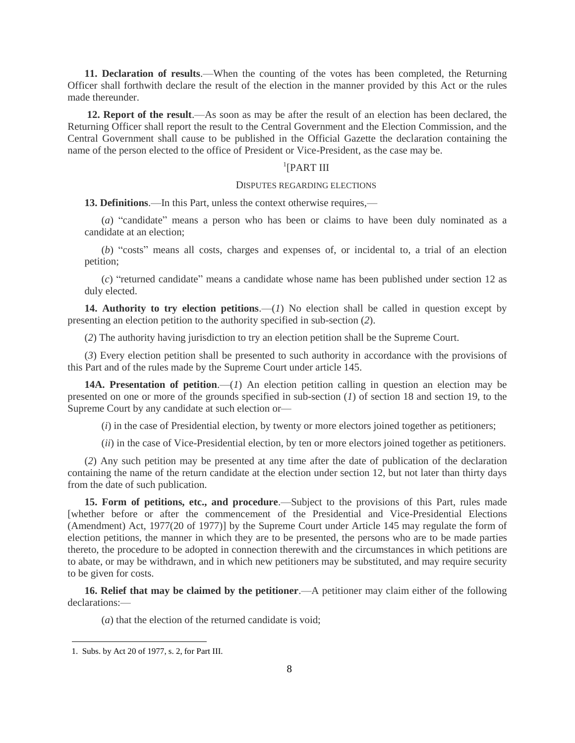**11. Declaration of results**.—When the counting of the votes has been completed, the Returning Officer shall forthwith declare the result of the election in the manner provided by this Act or the rules made thereunder.

**12. Report of the result**.—As soon as may be after the result of an election has been declared, the Returning Officer shall report the result to the Central Government and the Election Commission, and the Central Government shall cause to be published in the Official Gazette the declaration containing the name of the person elected to the office of President or Vice-President, as the case may be.

# <sup>1</sup>[PART III

#### DISPUTES REGARDING ELECTIONS

**13. Definitions**.—In this Part, unless the context otherwise requires,—

(*a*) "candidate" means a person who has been or claims to have been duly nominated as a candidate at an election;

(*b*) "costs" means all costs, charges and expenses of, or incidental to, a trial of an election petition;

(*c*) "returned candidate" means a candidate whose name has been published under section 12 as duly elected.

**14. Authority to try election petitions**.—(*1*) No election shall be called in question except by presenting an election petition to the authority specified in sub-section (*2*).

(*2*) The authority having jurisdiction to try an election petition shall be the Supreme Court.

(*3*) Every election petition shall be presented to such authority in accordance with the provisions of this Part and of the rules made by the Supreme Court under article 145.

**14A. Presentation of petition**.—(*1*) An election petition calling in question an election may be presented on one or more of the grounds specified in sub-section (*1*) of section 18 and section 19, to the Supreme Court by any candidate at such election or—

(*i*) in the case of Presidential election, by twenty or more electors joined together as petitioners;

(*ii*) in the case of Vice-Presidential election, by ten or more electors joined together as petitioners.

(*2*) Any such petition may be presented at any time after the date of publication of the declaration containing the name of the return candidate at the election under section 12, but not later than thirty days from the date of such publication.

**15. Form of petitions, etc., and procedure**.—Subject to the provisions of this Part, rules made [whether before or after the commencement of the Presidential and Vice-Presidential Elections (Amendment) Act, 1977(20 of 1977)] by the Supreme Court under Article 145 may regulate the form of election petitions, the manner in which they are to be presented, the persons who are to be made parties thereto, the procedure to be adopted in connection therewith and the circumstances in which petitions are to abate, or may be withdrawn, and in which new petitioners may be substituted, and may require security to be given for costs.

**16. Relief that may be claimed by the petitioner**.—A petitioner may claim either of the following declarations:—

(*a*) that the election of the returned candidate is void;

 $\overline{a}$ 

<sup>1.</sup> Subs. by Act 20 of 1977, s. 2, for Part III.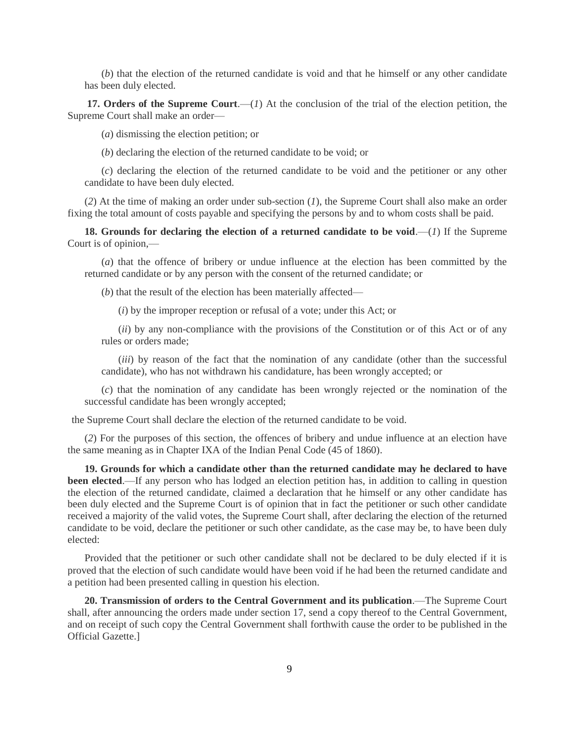(*b*) that the election of the returned candidate is void and that he himself or any other candidate has been duly elected.

17. **Orders of the Supreme Court.**—(*1*) At the conclusion of the trial of the election petition, the Supreme Court shall make an order—

(*a*) dismissing the election petition; or

(*b*) declaring the election of the returned candidate to be void; or

(*c*) declaring the election of the returned candidate to be void and the petitioner or any other candidate to have been duly elected.

(*2*) At the time of making an order under sub-section (*1*), the Supreme Court shall also make an order fixing the total amount of costs payable and specifying the persons by and to whom costs shall be paid.

**18.** Grounds for declaring the election of a returned candidate to be void.— $(I)$  If the Supreme Court is of opinion,—

(*a*) that the offence of bribery or undue influence at the election has been committed by the returned candidate or by any person with the consent of the returned candidate; or

(*b*) that the result of the election has been materially affected—

(*i*) by the improper reception or refusal of a vote; under this Act; or

(*ii*) by any non-compliance with the provisions of the Constitution or of this Act or of any rules or orders made;

(*iii*) by reason of the fact that the nomination of any candidate (other than the successful candidate), who has not withdrawn his candidature, has been wrongly accepted; or

(*c*) that the nomination of any candidate has been wrongly rejected or the nomination of the successful candidate has been wrongly accepted;

the Supreme Court shall declare the election of the returned candidate to be void.

(*2*) For the purposes of this section, the offences of bribery and undue influence at an election have the same meaning as in Chapter IXA of the Indian Penal Code (45 of 1860).

**19. Grounds for which a candidate other than the returned candidate may he declared to have been elected.—If** any person who has lodged an election petition has, in addition to calling in question the election of the returned candidate, claimed a declaration that he himself or any other candidate has been duly elected and the Supreme Court is of opinion that in fact the petitioner or such other candidate received a majority of the valid votes, the Supreme Court shall, after declaring the election of the returned candidate to be void, declare the petitioner or such other candidate, as the case may be, to have been duly elected:

Provided that the petitioner or such other candidate shall not be declared to be duly elected if it is proved that the election of such candidate would have been void if he had been the returned candidate and a petition had been presented calling in question his election.

**20. Transmission of orders to the Central Government and its publication**.—The Supreme Court shall, after announcing the orders made under section 17, send a copy thereof to the Central Government, and on receipt of such copy the Central Government shall forthwith cause the order to be published in the Official Gazette.]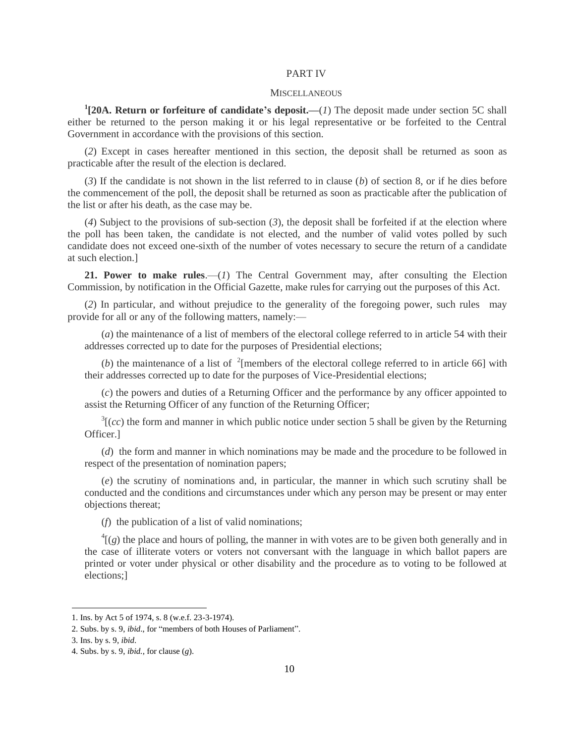## PART IV

#### **MISCELLANEOUS**

**1 [20A. Return or forfeiture of candidate's deposit.—**(*1*) The deposit made under section 5C shall either be returned to the person making it or his legal representative or be forfeited to the Central Government in accordance with the provisions of this section.

(*2*) Except in cases hereafter mentioned in this section, the deposit shall be returned as soon as practicable after the result of the election is declared.

(*3*) If the candidate is not shown in the list referred to in clause (*b*) of section 8, or if he dies before the commencement of the poll, the deposit shall be returned as soon as practicable after the publication of the list or after his death, as the case may be.

(*4*) Subject to the provisions of sub-section (*3*), the deposit shall be forfeited if at the election where the poll has been taken, the candidate is not elected, and the number of valid votes polled by such candidate does not exceed one-sixth of the number of votes necessary to secure the return of a candidate at such election.]

**21. Power to make rules**.—(*1*) The Central Government may, after consulting the Election Commission, by notification in the Official Gazette, make rulesfor carrying out the purposes of this Act.

(*2*) In particular, and without prejudice to the generality of the foregoing power, such rules may provide for all or any of the following matters, namely:—

(*a*) the maintenance of a list of members of the electoral college referred to in article 54 with their addresses corrected up to date for the purposes of Presidential elections;

(*b*) the maintenance of a list of  $\frac{1}{2}$  [members of the electoral college referred to in article 66] with their addresses corrected up to date for the purposes of Vice-Presidential elections;

(*c*) the powers and duties of a Returning Officer and the performance by any officer appointed to assist the Returning Officer of any function of the Returning Officer;

 $3[(cc)$  the form and manner in which public notice under section 5 shall be given by the Returning Officer.]

(*d*) the form and manner in which nominations may be made and the procedure to be followed in respect of the presentation of nomination papers;

(*e*) the scrutiny of nominations and, in particular, the manner in which such scrutiny shall be conducted and the conditions and circumstances under which any person may be present or may enter objections thereat;

(*f*) the publication of a list of valid nominations;

 $^{4}$ [(g) the place and hours of polling, the manner in with votes are to be given both generally and in the case of illiterate voters or voters not conversant with the language in which ballot papers are printed or voter under physical or other disability and the procedure as to voting to be followed at elections;]

 $\overline{a}$ 

<sup>1.</sup> Ins. by Act 5 of 1974, s. 8 (w.e.f. 23-3-1974).

<sup>2.</sup> Subs. by s. 9, *ibid*., for "members of both Houses of Parliament".

<sup>3.</sup> Ins. by s. 9, *ibid*.

<sup>4.</sup> Subs. by s. 9, *ibid.*, for clause (*g*).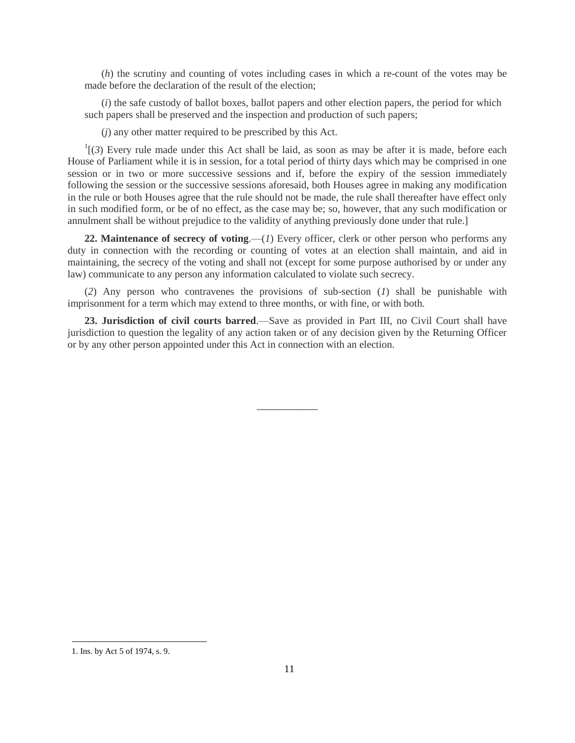(*h*) the scrutiny and counting of votes including cases in which a re-count of the votes may be made before the declaration of the result of the election;

(*i*) the safe custody of ballot boxes, ballot papers and other election papers, the period for which such papers shall be preserved and the inspection and production of such papers;

(*j*) any other matter required to be prescribed by this Act.

 $\mathfrak{a}^1$ [(3) Every rule made under this Act shall be laid, as soon as may be after it is made, before each House of Parliament while it is in session, for a total period of thirty days which may be comprised in one session or in two or more successive sessions and if, before the expiry of the session immediately following the session or the successive sessions aforesaid, both Houses agree in making any modification in the rule or both Houses agree that the rule should not be made, the rule shall thereafter have effect only in such modified form, or be of no effect, as the case may be; so, however, that any such modification or annulment shall be without prejudice to the validity of anything previously done under that rule.]

**22. Maintenance of secrecy of voting**.—(*1*) Every officer, clerk or other person who performs any duty in connection with the recording or counting of votes at an election shall maintain, and aid in maintaining, the secrecy of the voting and shall not (except for some purpose authorised by or under any law) communicate to any person any information calculated to violate such secrecy.

(*2*) Any person who contravenes the provisions of sub-section (*1*) shall be punishable with imprisonment for a term which may extend to three months, or with fine, or with both.

**23. Jurisdiction of civil courts barred**.—Save as provided in Part III, no Civil Court shall have jurisdiction to question the legality of any action taken or of any decision given by the Returning Officer or by any other person appointed under this Act in connection with an election.

\_\_\_\_\_\_\_\_\_\_\_\_\_

 $\overline{a}$ 

<sup>1.</sup> Ins. by Act 5 of 1974, s. 9.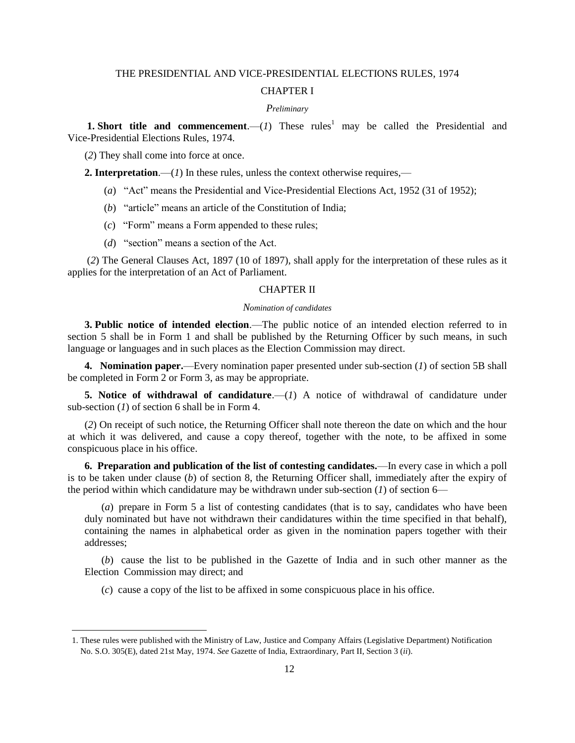# THE PRESIDENTIAL AND VICE-PRESIDENTIAL ELECTIONS RULES, 1974

# CHAPTER I

### *Preliminary*

**1. Short title and commencement**.—(*1*) These rules<sup>1</sup> may be called the Presidential and Vice-Presidential Elections Rules, 1974.

(*2*) They shall come into force at once.

 $\overline{\phantom{a}}$ 

**2. Interpretation**.—(*1*) In these rules, unless the context otherwise requires,—

- (*a*) "Act" means the Presidential and Vice-Presidential Elections Act, 1952 (31 of 1952);
- (*b*) "article" means an article of the Constitution of India;
- (*c*) "Form" means a Form appended to these rules;
- (*d*) "section" means a section of the Act.

(*2*) The General Clauses Act, 1897 (10 of 1897), shall apply for the interpretation of these rules as it applies for the interpretation of an Act of Parliament.

#### CHAPTER II

#### *Nomination of candidates*

**3. Public notice of intended election**.—The public notice of an intended election referred to in section 5 shall be in Form 1 and shall be published by the Returning Officer by such means, in such language or languages and in such places as the Election Commission may direct.

**4. Nomination paper.**—Every nomination paper presented under sub-section (*1*) of section 5B shall be completed in Form 2 or Form 3, as may be appropriate.

**5. Notice of withdrawal of candidature.** (*1*) A notice of withdrawal of candidature under sub-section (*1*) of section 6 shall be in Form 4.

(*2*) On receipt of such notice, the Returning Officer shall note thereon the date on which and the hour at which it was delivered, and cause a copy thereof, together with the note, to be affixed in some conspicuous place in his office.

**6. Preparation and publication of the list of contesting candidates.**—In every case in which a poll is to be taken under clause (*b*) of section 8, the Returning Officer shall, immediately after the expiry of the period within which candidature may be withdrawn under sub-section  $(1)$  of section 6—

(*a*) prepare in Form 5 a list of contesting candidates (that is to say, candidates who have been duly nominated but have not withdrawn their candidatures within the time specified in that behalf), containing the names in alphabetical order as given in the nomination papers together with their addresses;

(*b*) cause the list to be published in the Gazette of India and in such other manner as the Election Commission may direct; and

(*c*) cause a copy of the list to be affixed in some conspicuous place in his office.

<sup>1.</sup> These rules were published with the Ministry of Law, Justice and Company Affairs (Legislative Department) Notification No. S.O. 305(E), dated 21st May, 1974. *See* Gazette of India, Extraordinary, Part II, Section 3 (*ii*).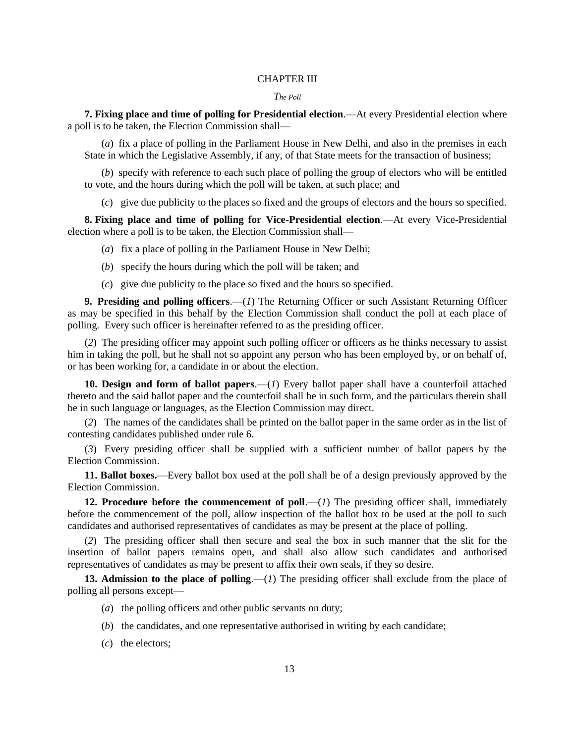### CHAPTER III

#### *The Poll*

**7. Fixing place and time of polling for Presidential election**.—At every Presidential election where a poll is to be taken, the Election Commission shall—

(*a*) fix a place of polling in the Parliament House in New Delhi, and also in the premises in each State in which the Legislative Assembly, if any, of that State meets for the transaction of business;

(*b*) specify with reference to each such place of polling the group of electors who will be entitled to vote, and the hours during which the poll will be taken, at such place; and

(*c*) give due publicity to the places so fixed and the groups of electors and the hours so specified.

**8. Fixing place and time of polling for Vice-Presidential election**.—At every Vice-Presidential election where a poll is to be taken, the Election Commission shall—

(*a*) fix a place of polling in the Parliament House in New Delhi;

- (*b*) specify the hours during which the poll will be taken; and
- (*c*) give due publicity to the place so fixed and the hours so specified.

**9. Presiding and polling officers**.—(*1*) The Returning Officer or such Assistant Returning Officer as may be specified in this behalf by the Election Commission shall conduct the poll at each place of polling. Every such officer is hereinafter referred to as the presiding officer.

(*2*) The presiding officer may appoint such polling officer or officers as he thinks necessary to assist him in taking the poll, but he shall not so appoint any person who has been employed by, or on behalf of, or has been working for, a candidate in or about the election.

**10. Design and form of ballot papers**.—(*1*) Every ballot paper shall have a counterfoil attached thereto and the said ballot paper and the counterfoil shall be in such form, and the particulars therein shall be in such language or languages, as the Election Commission may direct.

(*2*) The names of the candidates shall be printed on the ballot paper in the same order as in the list of contesting candidates published under rule 6.

(*3*) Every presiding officer shall be supplied with a sufficient number of ballot papers by the Election Commission.

**11. Ballot boxes.**—Every ballot box used at the poll shall be of a design previously approved by the Election Commission.

**12. Procedure before the commencement of poll.**—(*1*) The presiding officer shall, immediately before the commencement of the poll, allow inspection of the ballot box to be used at the poll to such candidates and authorised representatives of candidates as may be present at the place of polling.

(*2*) The presiding officer shall then secure and seal the box in such manner that the slit for the insertion of ballot papers remains open, and shall also allow such candidates and authorised representatives of candidates as may be present to affix their own seals, if they so desire.

**13. Admission to the place of polling**.—(*1*) The presiding officer shall exclude from the place of polling all persons except—

- (*a*) the polling officers and other public servants on duty;
- (*b*) the candidates, and one representative authorised in writing by each candidate;
- (*c*) the electors;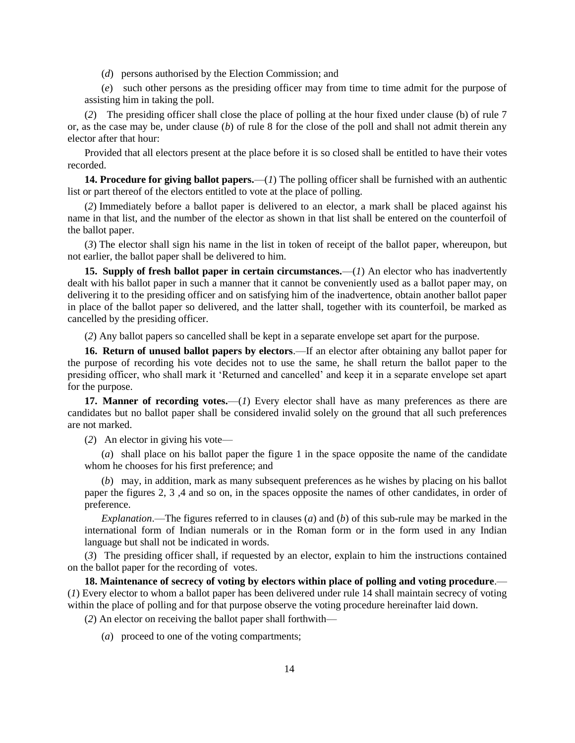(*d*) persons authorised by the Election Commission; and

(*e*) such other persons as the presiding officer may from time to time admit for the purpose of assisting him in taking the poll.

(*2*) The presiding officer shall close the place of polling at the hour fixed under clause (b) of rule 7 or, as the case may be, under clause (*b*) of rule 8 for the close of the poll and shall not admit therein any elector after that hour:

Provided that all electors present at the place before it is so closed shall be entitled to have their votes recorded.

**14. Procedure for giving ballot papers.**—(*1*) The polling officer shall be furnished with an authentic list or part thereof of the electors entitled to vote at the place of polling.

(*2*) Immediately before a ballot paper is delivered to an elector, a mark shall be placed against his name in that list, and the number of the elector as shown in that list shall be entered on the counterfoil of the ballot paper.

(*3*) The elector shall sign his name in the list in token of receipt of the ballot paper, whereupon, but not earlier, the ballot paper shall be delivered to him.

**15. Supply of fresh ballot paper in certain circumstances.**—(*1*) An elector who has inadvertently dealt with his ballot paper in such a manner that it cannot be conveniently used as a ballot paper may, on delivering it to the presiding officer and on satisfying him of the inadvertence, obtain another ballot paper in place of the ballot paper so delivered, and the latter shall, together with its counterfoil, be marked as cancelled by the presiding officer.

(*2*) Any ballot papers so cancelled shall be kept in a separate envelope set apart for the purpose.

**16. Return of unused ballot papers by electors**.—If an elector after obtaining any ballot paper for the purpose of recording his vote decides not to use the same, he shall return the ballot paper to the presiding officer, who shall mark it "Returned and cancelled" and keep it in a separate envelope set apart for the purpose.

**17. Manner of recording votes.**—(*1*) Every elector shall have as many preferences as there are candidates but no ballot paper shall be considered invalid solely on the ground that all such preferences are not marked.

(*2*) An elector in giving his vote—

(*a*) shall place on his ballot paper the figure 1 in the space opposite the name of the candidate whom he chooses for his first preference; and

(*b*) may, in addition, mark as many subsequent preferences as he wishes by placing on his ballot paper the figures 2, 3 ,4 and so on, in the spaces opposite the names of other candidates, in order of preference.

*Explanation*.—The figures referred to in clauses (*a*) and (*b*) of this sub-rule may be marked in the international form of Indian numerals or in the Roman form or in the form used in any Indian language but shall not be indicated in words.

(*3*) The presiding officer shall, if requested by an elector, explain to him the instructions contained on the ballot paper for the recording of votes.

**18. Maintenance of secrecy of voting by electors within place of polling and voting procedure**.— (*1*) Every elector to whom a ballot paper has been delivered under rule 14 shall maintain secrecy of voting within the place of polling and for that purpose observe the voting procedure hereinafter laid down.

(*2*) An elector on receiving the ballot paper shall forthwith—

(*a*) proceed to one of the voting compartments;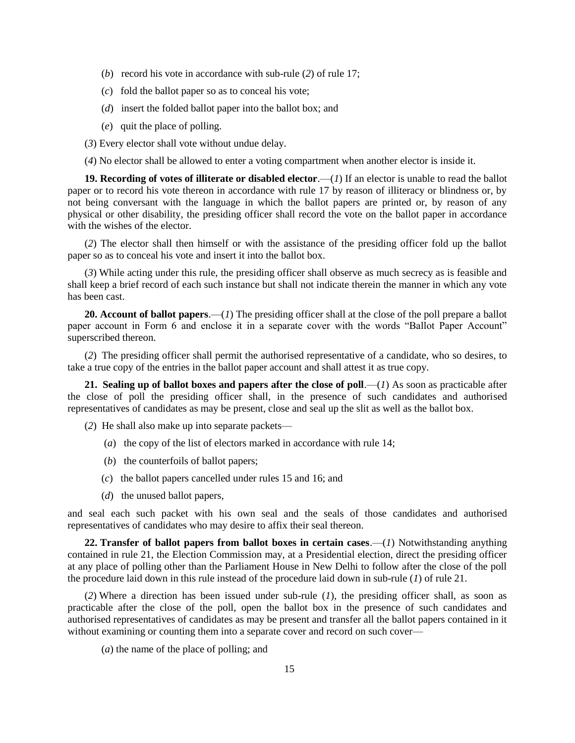- (*b*) record his vote in accordance with sub-rule (*2*) of rule 17;
- (*c*) fold the ballot paper so as to conceal his vote;
- (*d*) insert the folded ballot paper into the ballot box; and
- (*e*) quit the place of polling.

(*3*) Every elector shall vote without undue delay.

(*4*) No elector shall be allowed to enter a voting compartment when another elector is inside it.

**19. Recording of votes of illiterate or disabled elector**.—(*1*) If an elector is unable to read the ballot paper or to record his vote thereon in accordance with rule 17 by reason of illiteracy or blindness or, by not being conversant with the language in which the ballot papers are printed or, by reason of any physical or other disability, the presiding officer shall record the vote on the ballot paper in accordance with the wishes of the elector.

(*2*) The elector shall then himself or with the assistance of the presiding officer fold up the ballot paper so as to conceal his vote and insert it into the ballot box.

(*3*) While acting under this rule, the presiding officer shall observe as much secrecy as is feasible and shall keep a brief record of each such instance but shall not indicate therein the manner in which any vote has been cast.

**20. Account of ballot papers**.—(*1*) The presiding officer shall at the close of the poll prepare a ballot paper account in Form 6 and enclose it in a separate cover with the words "Ballot Paper Account" superscribed thereon.

(*2*) The presiding officer shall permit the authorised representative of a candidate, who so desires, to take a true copy of the entries in the ballot paper account and shall attest it as true copy.

**21. Sealing up of ballot boxes and papers after the close of poll.—** $(I)$  **As soon as practicable after** the close of poll the presiding officer shall, in the presence of such candidates and authorised representatives of candidates as may be present, close and seal up the slit as well as the ballot box.

- (*2*) He shall also make up into separate packets—
	- (*a*) the copy of the list of electors marked in accordance with rule 14;
	- (*b*) the counterfoils of ballot papers;
	- (*c*) the ballot papers cancelled under rules 15 and 16; and
	- (*d*) the unused ballot papers,

and seal each such packet with his own seal and the seals of those candidates and authorised representatives of candidates who may desire to affix their seal thereon.

**22. Transfer of ballot papers from ballot boxes in certain cases**.—(*1*) Notwithstanding anything contained in rule 21, the Election Commission may, at a Presidential election, direct the presiding officer at any place of polling other than the Parliament House in New Delhi to follow after the close of the poll the procedure laid down in this rule instead of the procedure laid down in sub-rule (*1*) of rule 21.

(*2*) Where a direction has been issued under sub-rule (*1*), the presiding officer shall, as soon as practicable after the close of the poll, open the ballot box in the presence of such candidates and authorised representatives of candidates as may be present and transfer all the ballot papers contained in it without examining or counting them into a separate cover and record on such cover—

(*a*) the name of the place of polling; and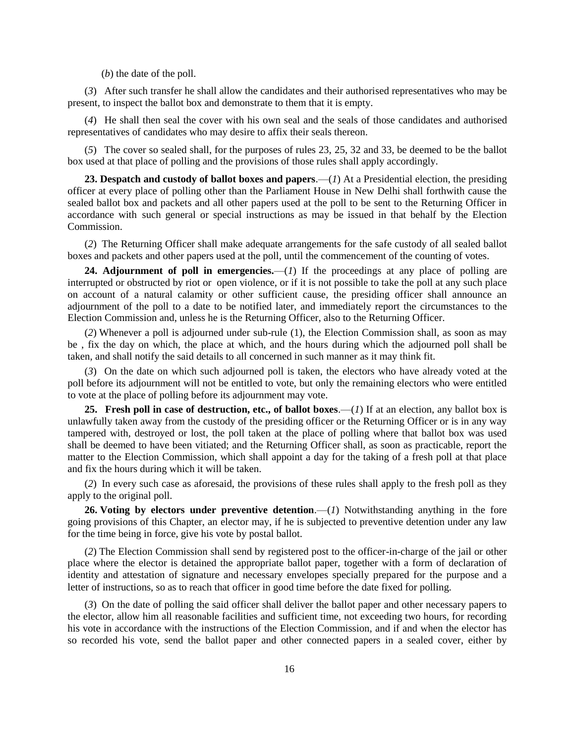(*b*) the date of the poll.

(*3*) After such transfer he shall allow the candidates and their authorised representatives who may be present, to inspect the ballot box and demonstrate to them that it is empty.

(*4*) He shall then seal the cover with his own seal and the seals of those candidates and authorised representatives of candidates who may desire to affix their seals thereon.

(*5*) The cover so sealed shall, for the purposes of rules 23, 25, 32 and 33, be deemed to be the ballot box used at that place of polling and the provisions of those rules shall apply accordingly.

**23. Despatch and custody of ballot boxes and papers**.—(*1*) At a Presidential election, the presiding officer at every place of polling other than the Parliament House in New Delhi shall forthwith cause the sealed ballot box and packets and all other papers used at the poll to be sent to the Returning Officer in accordance with such general or special instructions as may be issued in that behalf by the Election Commission.

(*2*) The Returning Officer shall make adequate arrangements for the safe custody of all sealed ballot boxes and packets and other papers used at the poll, until the commencement of the counting of votes.

**24. Adjournment of poll in emergencies.**—(*1*) If the proceedings at any place of polling are interrupted or obstructed by riot or open violence, or if it is not possible to take the poll at any such place on account of a natural calamity or other sufficient cause, the presiding officer shall announce an adjournment of the poll to a date to be notified later, and immediately report the circumstances to the Election Commission and, unless he is the Returning Officer, also to the Returning Officer.

(*2*) Whenever a poll is adjourned under sub-rule (1), the Election Commission shall, as soon as may be , fix the day on which, the place at which, and the hours during which the adjourned poll shall be taken, and shall notify the said details to all concerned in such manner as it may think fit.

(*3*) On the date on which such adjourned poll is taken, the electors who have already voted at the poll before its adjournment will not be entitled to vote, but only the remaining electors who were entitled to vote at the place of polling before its adjournment may vote.

**25. Fresh poll in case of destruction, etc., of ballot boxes**.—(*1*) If at an election, any ballot box is unlawfully taken away from the custody of the presiding officer or the Returning Officer or is in any way tampered with, destroyed or lost, the poll taken at the place of polling where that ballot box was used shall be deemed to have been vitiated; and the Returning Officer shall, as soon as practicable, report the matter to the Election Commission, which shall appoint a day for the taking of a fresh poll at that place and fix the hours during which it will be taken.

(*2*) In every such case as aforesaid, the provisions of these rules shall apply to the fresh poll as they apply to the original poll.

**26. Voting by electors under preventive detention**.—(*1*) Notwithstanding anything in the fore going provisions of this Chapter, an elector may, if he is subjected to preventive detention under any law for the time being in force, give his vote by postal ballot.

(*2*) The Election Commission shall send by registered post to the officer-in-charge of the jail or other place where the elector is detained the appropriate ballot paper, together with a form of declaration of identity and attestation of signature and necessary envelopes specially prepared for the purpose and a letter of instructions, so as to reach that officer in good time before the date fixed for polling.

(*3*) On the date of polling the said officer shall deliver the ballot paper and other necessary papers to the elector, allow him all reasonable facilities and sufficient time, not exceeding two hours, for recording his vote in accordance with the instructions of the Election Commission, and if and when the elector has so recorded his vote, send the ballot paper and other connected papers in a sealed cover, either by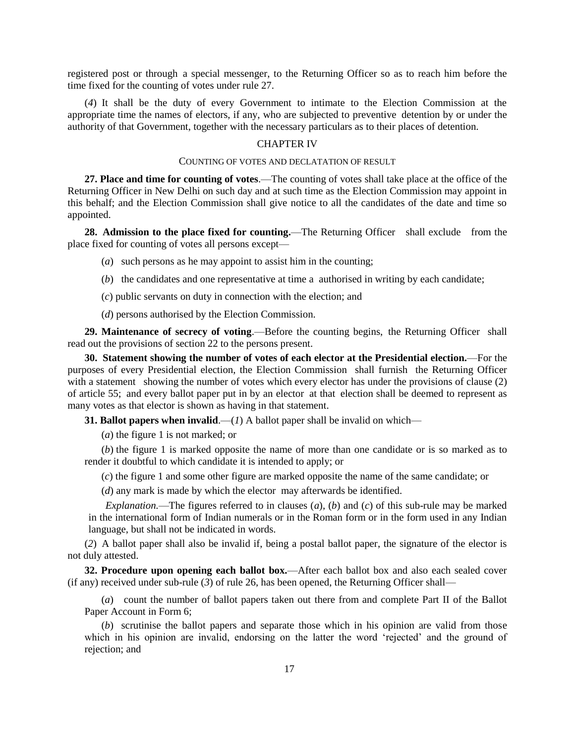registered post or through a special messenger, to the Returning Officer so as to reach him before the time fixed for the counting of votes under rule 27.

(*4*) It shall be the duty of every Government to intimate to the Election Commission at the appropriate time the names of electors, if any, who are subjected to preventive detention by or under the authority of that Government, together with the necessary particulars as to their places of detention.

# CHAPTER IV

### COUNTING OF VOTES AND DECLATATION OF RESULT

**27. Place and time for counting of votes**.—The counting of votes shall take place at the office of the Returning Officer in New Delhi on such day and at such time as the Election Commission may appoint in this behalf; and the Election Commission shall give notice to all the candidates of the date and time so appointed.

**28. Admission to the place fixed for counting.**—The Returning Officer shall exclude from the place fixed for counting of votes all persons except—

- (*a*) such persons as he may appoint to assist him in the counting;
- (*b*) the candidates and one representative at time a authorised in writing by each candidate;
- (*c*) public servants on duty in connection with the election; and

(*d*) persons authorised by the Election Commission.

**29. Maintenance of secrecy of voting**.—Before the counting begins, the Returning Officer shall read out the provisions of section 22 to the persons present.

**30. Statement showing the number of votes of each elector at the Presidential election.**—For the purposes of every Presidential election, the Election Commission shall furnish the Returning Officer with a statement showing the number of votes which every elector has under the provisions of clause (2) of article 55; and every ballot paper put in by an elector at that election shall be deemed to represent as many votes as that elector is shown as having in that statement.

**31. Ballot papers when invalid.**—(*1*) A ballot paper shall be invalid on which—

(*a*) the figure 1 is not marked; or

(*b*) the figure 1 is marked opposite the name of more than one candidate or is so marked as to render it doubtful to which candidate it is intended to apply; or

(*c*) the figure 1 and some other figure are marked opposite the name of the same candidate; or

(*d*) any mark is made by which the elector may afterwards be identified.

*Explanation.*—The figures referred to in clauses (*a*), (*b*) and (*c*) of this sub-rule may be marked in the international form of Indian numerals or in the Roman form or in the form used in any Indian language, but shall not be indicated in words.

(*2*) A ballot paper shall also be invalid if, being a postal ballot paper, the signature of the elector is not duly attested.

**32. Procedure upon opening each ballot box.**—After each ballot box and also each sealed cover (if any) received under sub-rule (*3*) of rule 26, has been opened, the Returning Officer shall—

(*a*) count the number of ballot papers taken out there from and complete Part II of the Ballot Paper Account in Form 6;

(*b*) scrutinise the ballot papers and separate those which in his opinion are valid from those which in his opinion are invalid, endorsing on the latter the word 'rejected' and the ground of rejection; and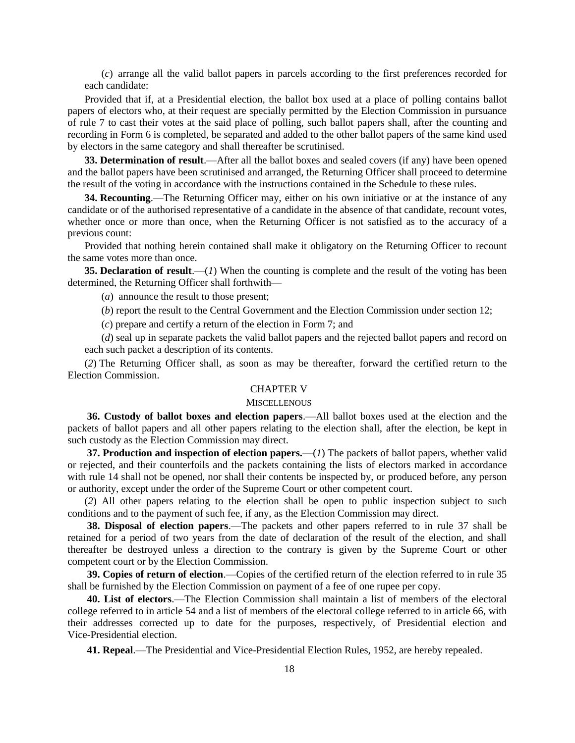(*c*) arrange all the valid ballot papers in parcels according to the first preferences recorded for each candidate:

Provided that if, at a Presidential election, the ballot box used at a place of polling contains ballot papers of electors who, at their request are specially permitted by the Election Commission in pursuance of rule 7 to cast their votes at the said place of polling, such ballot papers shall, after the counting and recording in Form 6 is completed, be separated and added to the other ballot papers of the same kind used by electors in the same category and shall thereafter be scrutinised.

**33. Determination of result**.—After all the ballot boxes and sealed covers (if any) have been opened and the ballot papers have been scrutinised and arranged, the Returning Officer shall proceed to determine the result of the voting in accordance with the instructions contained in the Schedule to these rules.

**34. Recounting**.—The Returning Officer may, either on his own initiative or at the instance of any candidate or of the authorised representative of a candidate in the absence of that candidate, recount votes, whether once or more than once, when the Returning Officer is not satisfied as to the accuracy of a previous count:

Provided that nothing herein contained shall make it obligatory on the Returning Officer to recount the same votes more than once.

**35. Declaration of result**.—(*1*) When the counting is complete and the result of the voting has been determined, the Returning Officer shall forthwith—

(*a*) announce the result to those present;

(*b*) report the result to the Central Government and the Election Commission under section 12;

(*c*) prepare and certify a return of the election in Form 7; and

(*d*) seal up in separate packets the valid ballot papers and the rejected ballot papers and record on each such packet a description of its contents.

(*2*) The Returning Officer shall, as soon as may be thereafter, forward the certified return to the Election Commission.

## CHAPTER V

### **MISCELLENOUS**

**36. Custody of ballot boxes and election papers**.—All ballot boxes used at the election and the packets of ballot papers and all other papers relating to the election shall, after the election, be kept in such custody as the Election Commission may direct.

**37. Production and inspection of election papers.**—(*1*) The packets of ballot papers, whether valid or rejected, and their counterfoils and the packets containing the lists of electors marked in accordance with rule 14 shall not be opened, nor shall their contents be inspected by, or produced before, any person or authority, except under the order of the Supreme Court or other competent court.

(*2*) All other papers relating to the election shall be open to public inspection subject to such conditions and to the payment of such fee, if any, as the Election Commission may direct.

**38. Disposal of election papers**.—The packets and other papers referred to in rule 37 shall be retained for a period of two years from the date of declaration of the result of the election, and shall thereafter be destroyed unless a direction to the contrary is given by the Supreme Court or other competent court or by the Election Commission.

**39. Copies of return of election**.—Copies of the certified return of the election referred to in rule 35 shall be furnished by the Election Commission on payment of a fee of one rupee per copy.

**40. List of electors**.—The Election Commission shall maintain a list of members of the electoral college referred to in article 54 and a list of members of the electoral college referred to in article 66, with their addresses corrected up to date for the purposes, respectively, of Presidential election and Vice-Presidential election.

**41. Repeal**.—The Presidential and Vice-Presidential Election Rules, 1952, are hereby repealed.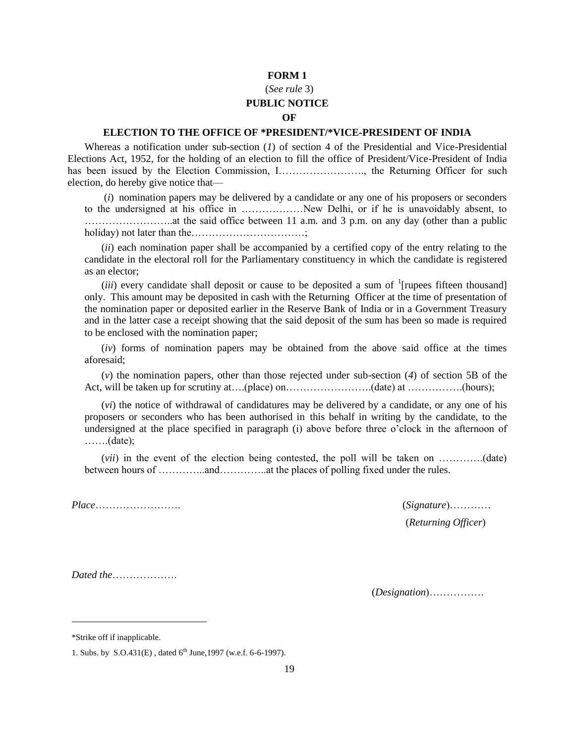## (*See rule* 3) **PUBLIC NOTICE**

# **OF**

## **ELECTION TO THE OFFICE OF \*PRESIDENT/\*VICE-PRESIDENT OF INDIA**

Whereas a notification under sub-section (*1*) of section 4 of the Presidential and Vice-Presidential Elections Act, 1952, for the holding of an election to fill the office of President/Vice-President of India has been issued by the Election Commission, I……………………., the Returning Officer for such election, do hereby give notice that—

(*i*) nomination papers may be delivered by a candidate or any one of his proposers or seconders to the undersigned at his office in ………………New Delhi, or if he is unavoidably absent, to ……………………..at the said office between 11 a.m. and 3 p.m. on any day (other than a public holiday) not later than the……………………………;

(*ii*) each nomination paper shall be accompanied by a certified copy of the entry relating to the candidate in the electoral roll for the Parliamentary constituency in which the candidate is registered as an elector;

 $(iii)$  every candidate shall deposit or cause to be deposited a sum of  $\frac{1}{i}$  [rupees fifteen thousand] only. This amount may be deposited in cash with the Returning Officer at the time of presentation of the nomination paper or deposited earlier in the Reserve Bank of India or in a Government Treasury and in the latter case a receipt showing that the said deposit of the sum has been so made is required to be enclosed with the nomination paper;

(*iv*) forms of nomination papers may be obtained from the above said office at the times aforesaid;

(*v*) the nomination papers, other than those rejected under sub-section (*4*) of section 5B of the Act, will be taken up for scrutiny at....(place) on…………………………………(date) at …………….(hours);

(*vi*) the notice of withdrawal of candidatures may be delivered by a candidate, or any one of his proposers or seconders who has been authorised in this behalf in writing by the candidate, to the undersigned at the place specified in paragraph (i) above before three o'clock in the afternoon of …….(date);

(*vii*) in the event of the election being contested, the poll will be taken on ………….(date) between hours of …………..and…………..at the places of polling fixed under the rules.

*Place*……………………. (*Signature*)…………

(*Returning Officer*)

*Dated the*……………….

(*Designation*)…………….

\*Strike off if inapplicable.

l

<sup>1.</sup> Subs. by S.O.431(E), dated  $6^{th}$  June, 1997 (w.e.f. 6-6-1997).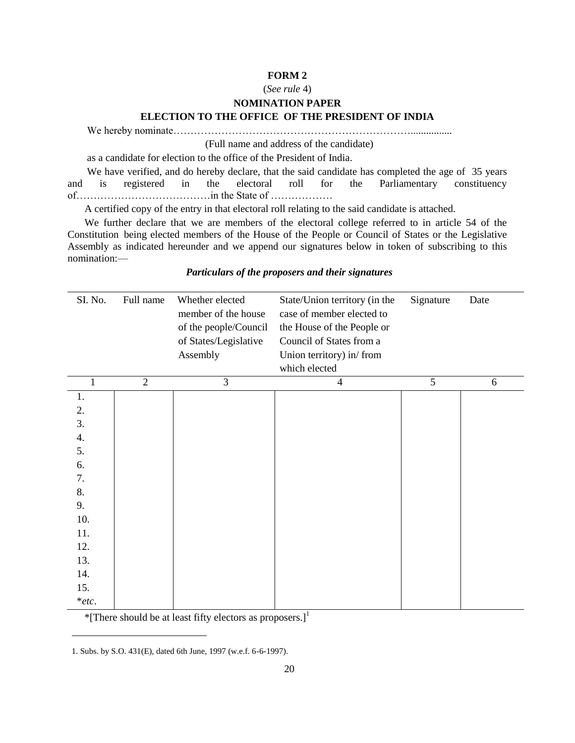#### (*See rule* 4)

### **NOMINATION PAPER**

#### **ELECTION TO THE OFFICE OF THE PRESIDENT OF INDIA**

We hereby nominate……………………………………………………………................

(Full name and address of the candidate)

as a candidate for election to the office of the President of India.

We have verified, and do hereby declare, that the said candidate has completed the age of 35 years and is registered in the electoral roll for the Parliamentary constituency of…………………………………in the State of ………………

A certified copy of the entry in that electoral roll relating to the said candidate is attached.

We further declare that we are members of the electoral college referred to in article 54 of the Constitution being elected members of the House of the People or Council of States or the Legislative Assembly as indicated hereunder and we append our signatures below in token of subscribing to this nomination:—

## *Particulars of the proposers and their signatures*

| SI. No.  | Full name      | Whether elected<br>member of the house<br>of the people/Council<br>of States/Legislative<br>Assembly | State/Union territory (in the<br>case of member elected to<br>the House of the People or<br>Council of States from a<br>Union territory) in/from<br>which elected | Signature | Date |
|----------|----------------|------------------------------------------------------------------------------------------------------|-------------------------------------------------------------------------------------------------------------------------------------------------------------------|-----------|------|
| 1        | $\overline{2}$ | 3                                                                                                    | $\overline{4}$                                                                                                                                                    | 5         | 6    |
| 1.       |                |                                                                                                      |                                                                                                                                                                   |           |      |
| 2.       |                |                                                                                                      |                                                                                                                                                                   |           |      |
| 3.       |                |                                                                                                      |                                                                                                                                                                   |           |      |
| 4.       |                |                                                                                                      |                                                                                                                                                                   |           |      |
| 5.       |                |                                                                                                      |                                                                                                                                                                   |           |      |
| 6.       |                |                                                                                                      |                                                                                                                                                                   |           |      |
| 7.       |                |                                                                                                      |                                                                                                                                                                   |           |      |
| 8.       |                |                                                                                                      |                                                                                                                                                                   |           |      |
| 9.       |                |                                                                                                      |                                                                                                                                                                   |           |      |
| 10.      |                |                                                                                                      |                                                                                                                                                                   |           |      |
| 11.      |                |                                                                                                      |                                                                                                                                                                   |           |      |
| 12.      |                |                                                                                                      |                                                                                                                                                                   |           |      |
| 13.      |                |                                                                                                      |                                                                                                                                                                   |           |      |
| 14.      |                |                                                                                                      |                                                                                                                                                                   |           |      |
| 15.      |                |                                                                                                      |                                                                                                                                                                   |           |      |
| $*$ etc. |                |                                                                                                      |                                                                                                                                                                   |           |      |

\*[There should be at least fifty electors as proposers.]<sup>1</sup>

l

<sup>1.</sup> Subs. by S.O. 431(E), dated 6th June, 1997 (w.e.f. 6-6-1997).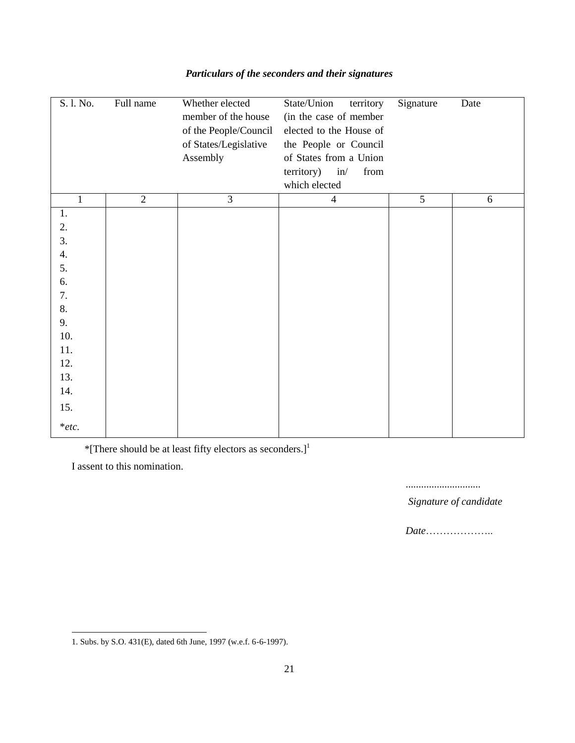| S. l. No.    | Full name      | Whether elected       | State/Union<br>territory  | Signature      | Date |
|--------------|----------------|-----------------------|---------------------------|----------------|------|
|              |                | member of the house   | (in the case of member    |                |      |
|              |                | of the People/Council | elected to the House of   |                |      |
|              |                | of States/Legislative | the People or Council     |                |      |
|              |                | Assembly              | of States from a Union    |                |      |
|              |                |                       | territory)<br>in/<br>from |                |      |
|              |                |                       | which elected             |                |      |
| $\mathbf{1}$ | $\overline{2}$ | $\overline{3}$        | $\overline{4}$            | $\overline{5}$ | 6    |
| 1.           |                |                       |                           |                |      |
| 2.           |                |                       |                           |                |      |
| 3.           |                |                       |                           |                |      |
| 4.           |                |                       |                           |                |      |
| 5.           |                |                       |                           |                |      |
| 6.           |                |                       |                           |                |      |
| 7.           |                |                       |                           |                |      |
| 8.           |                |                       |                           |                |      |
| 9.           |                |                       |                           |                |      |
| 10.          |                |                       |                           |                |      |
| 11.          |                |                       |                           |                |      |
| 12.          |                |                       |                           |                |      |
| 13.          |                |                       |                           |                |      |
| 14.          |                |                       |                           |                |      |
| 15.          |                |                       |                           |                |      |
| $*$ etc.     |                |                       |                           |                |      |

# *Particulars of the seconders and their signatures*

\*[There should be at least fifty electors as seconders.]<sup>1</sup>

I assent to this nomination.

l

.............................

 *Signature of candidate*

*Date*………………..

<sup>1.</sup> Subs. by S.O. 431(E), dated 6th June, 1997 (w.e.f. 6-6-1997).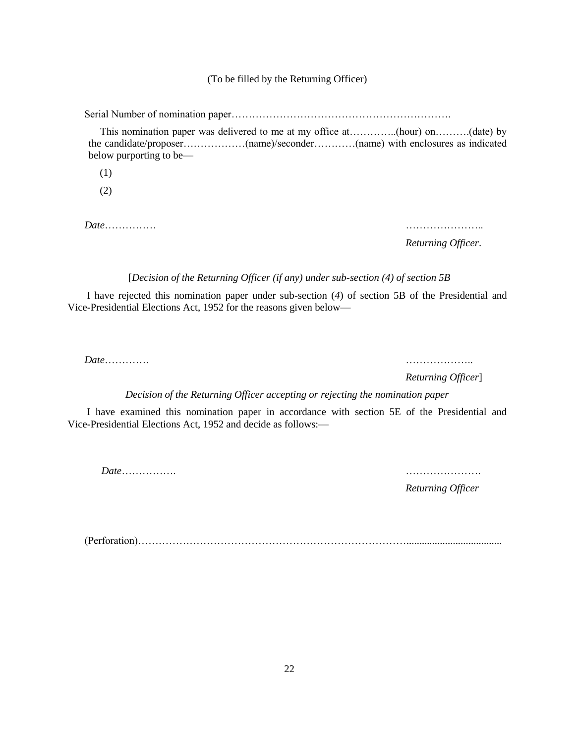### (To be filled by the Returning Officer)

Serial Number of nomination paper……………………………………………………….

 This nomination paper was delivered to me at my office at…………..(hour) on……….(date) by the candidate/proposer………………(name)/seconder…………(name) with enclosures as indicated below purporting to be—

(1)

(2)

*Date*…………… …………………..

*Returning Officer*.

[*Decision of the Returning Officer (if any) under sub-section (4) of section 5B*

I have rejected this nomination paper under sub-section (*4*) of section 5B of the Presidential and Vice-Presidential Elections Act, 1952 for the reasons given below—

*Date*…………. ………………..

*Returning Officer*]

*Decision of the Returning Officer accepting or rejecting the nomination paper*

I have examined this nomination paper in accordance with section 5E of the Presidential and Vice-Presidential Elections Act, 1952 and decide as follows:—

*Date*……………. ………………….

*Returning Officer*

(Perforation)…………………………………………………………………….....................................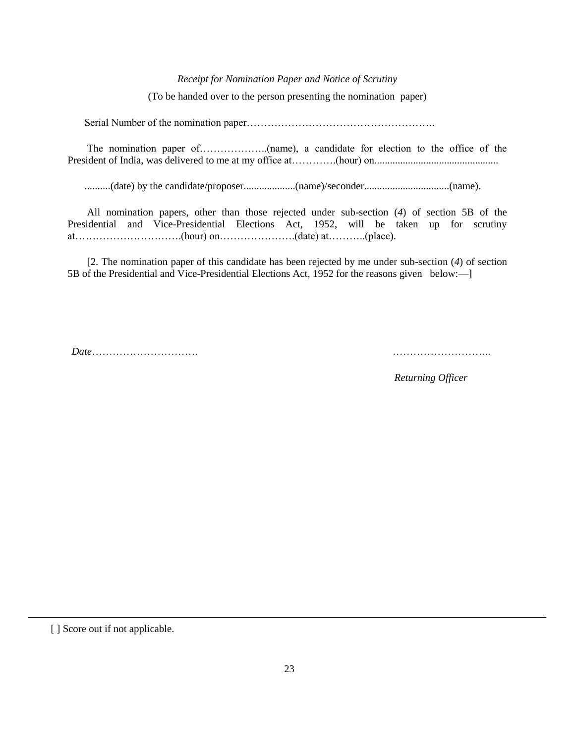#### *Receipt for Nomination Paper and Notice of Scrutiny*

(To be handed over to the person presenting the nomination paper)

Serial Number of the nomination paper……………………………………………….

The nomination paper of………………..(name), a candidate for election to the office of the President of India, was delivered to me at my office at………….(hour) on................................................

..........(date) by the candidate/proposer....................(name)/seconder.................................(name).

All nomination papers, other than those rejected under sub-section (*4*) of section 5B of the Presidential and Vice-Presidential Elections Act, 1952, will be taken up for scrutiny at………………………….(hour) on………………….(date) at………..(place).

[2. The nomination paper of this candidate has been rejected by me under sub-section (*4*) of section 5B of the Presidential and Vice-Presidential Elections Act, 1952 for the reasons given below:—]

*Date*…………………………. ………………………..

 *Returning Officer*

[] Score out if not applicable.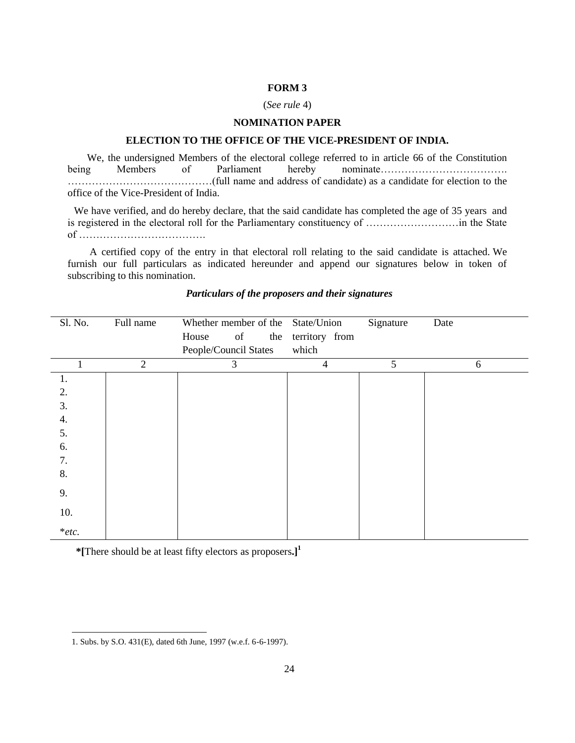### (*See rule* 4)

# **NOMINATION PAPER**

## **ELECTION TO THE OFFICE OF THE VICE-PRESIDENT OF INDIA.**

We, the undersigned Members of the electoral college referred to in article 66 of the Constitution being Members of Parliament hereby nominate………………………………. ……………………………………(full name and address of candidate) as a candidate for election to the office of the Vice-President of India.

 We have verified, and do hereby declare, that the said candidate has completed the age of 35 years and is registered in the electoral roll for the Parliamentary constituency of ………………………in the State of ……………………………….

 A certified copy of the entry in that electoral roll relating to the said candidate is attached. We furnish our full particulars as indicated hereunder and append our signatures below in token of subscribing to this nomination.

| Sl. No.  | Full name      | Whether member of the State/Union |     |                | Signature | Date |
|----------|----------------|-----------------------------------|-----|----------------|-----------|------|
|          |                | of<br>House                       | the | territory from |           |      |
|          |                | People/Council States             |     | which          |           |      |
| 1        | $\overline{2}$ | 3                                 |     | 4              | 5         | 6    |
| 1.       |                |                                   |     |                |           |      |
| 2.       |                |                                   |     |                |           |      |
| 3.       |                |                                   |     |                |           |      |
| 4.       |                |                                   |     |                |           |      |
| 5.       |                |                                   |     |                |           |      |
| 6.       |                |                                   |     |                |           |      |
| 7.       |                |                                   |     |                |           |      |
| 8.       |                |                                   |     |                |           |      |
| 9.       |                |                                   |     |                |           |      |
| 10.      |                |                                   |     |                |           |      |
| $*$ etc. |                |                                   |     |                |           |      |

## *Particulars of the proposers and their signatures*

**\*[**There should be at least fifty electors as proposers**.]<sup>1</sup>**

l

<sup>1.</sup> Subs. by S.O. 431(E), dated 6th June, 1997 (w.e.f. 6-6-1997).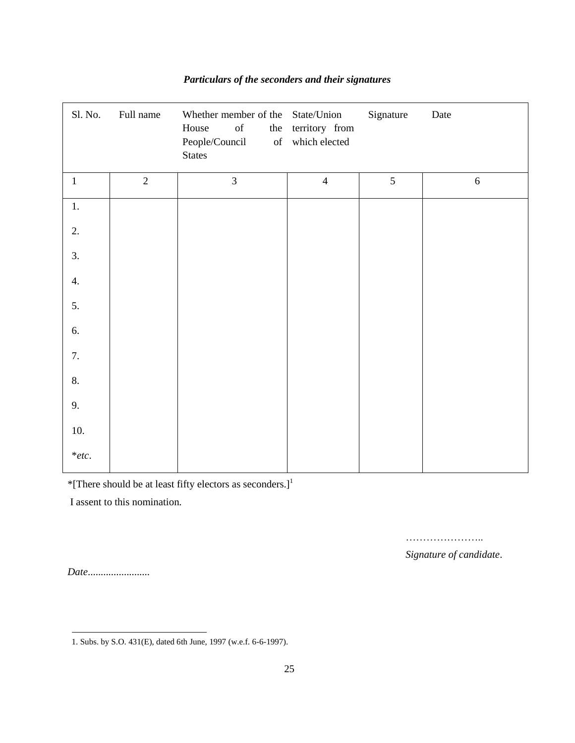| Sl. No.      | Full name      | Whether member of the State/Union<br>House<br>$% \left( \left( \mathcal{A},\mathcal{A}\right) \right) =\left( \mathcal{A},\mathcal{A}\right)$ of<br>the<br>People/Council<br><b>States</b> | territory from<br>of which elected | Signature | Date       |
|--------------|----------------|--------------------------------------------------------------------------------------------------------------------------------------------------------------------------------------------|------------------------------------|-----------|------------|
| $\mathbf{1}$ | $\overline{2}$ | $\overline{3}$                                                                                                                                                                             | $\overline{4}$                     | 5         | $\sqrt{6}$ |
| $1.$         |                |                                                                                                                                                                                            |                                    |           |            |
| 2.           |                |                                                                                                                                                                                            |                                    |           |            |
| 3.           |                |                                                                                                                                                                                            |                                    |           |            |
| 4.           |                |                                                                                                                                                                                            |                                    |           |            |
| 5.           |                |                                                                                                                                                                                            |                                    |           |            |
| 6.           |                |                                                                                                                                                                                            |                                    |           |            |
| 7.           |                |                                                                                                                                                                                            |                                    |           |            |
| $\, 8.$      |                |                                                                                                                                                                                            |                                    |           |            |
| 9.           |                |                                                                                                                                                                                            |                                    |           |            |
| 10.          |                |                                                                                                                                                                                            |                                    |           |            |
| $*$ etc.     |                |                                                                                                                                                                                            |                                    |           |            |

# *Particulars of the seconders and their signatures*

\*[There should be at least fifty electors as seconders.]<sup>1</sup>

I assent to this nomination.

…………………… *Signature of candidate*.

*Date*........................

l 1. Subs. by S.O. 431(E), dated 6th June, 1997 (w.e.f. 6-6-1997).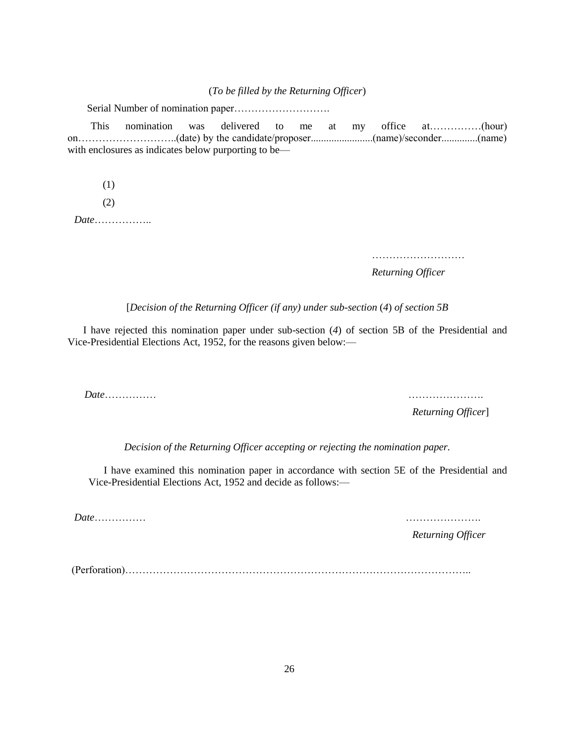(*To be filled by the Returning Officer*)

Serial Number of nomination paper……………………….

 This nomination was delivered to me at my office at……………(hour) on………………………..(date) by the candidate/proposer........................(name)/seconder..............(name) with enclosures as indicates below purporting to be—

(1)

(2)

*Date*……………..

………………………

*Returning Officer*

[*Decision of the Returning Officer (if any) under sub-section* (*4*) *of section 5B*

 I have rejected this nomination paper under sub-section (*4*) of section 5B of the Presidential and Vice-Presidential Elections Act, 1952, for the reasons given below:—

*Date*…………… ………………….

*Returning Officer*]

*Decision of the Returning Officer accepting or rejecting the nomination paper.*

I have examined this nomination paper in accordance with section 5E of the Presidential and Vice-Presidential Elections Act, 1952 and decide as follows:—

*Date*…………… ………………….

*Returning Officer*

(Perforation)………………………………………………………………………………………..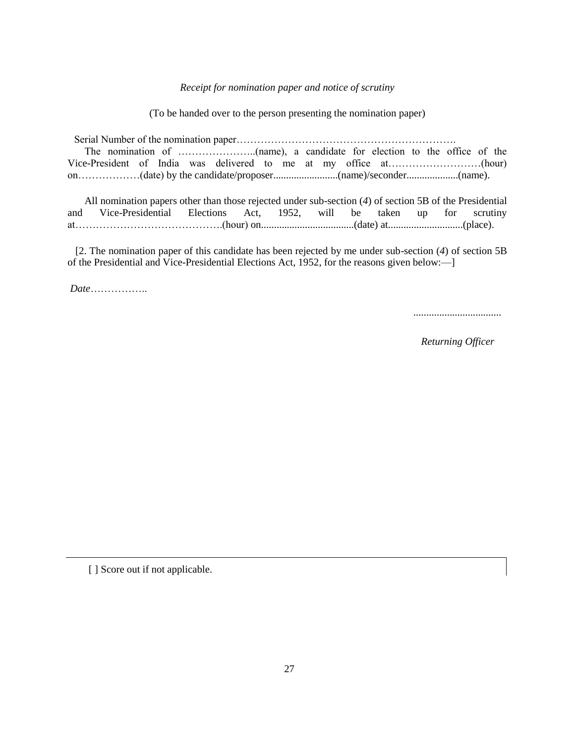### *Receipt for nomination paper and notice of scrutiny*

(To be handed over to the person presenting the nomination paper)

Serial Number of the nomination paper………………………………………………………. The nomination of …………………..(name), a candidate for election to the office of the Vice-President of India was delivered to me at my office at………………………(hour) on………………(date) by the candidate/proposer.........................(name)/seconder....................(name).

All nomination papers other than those rejected under sub-section (*4*) of section 5B of the Presidential and Vice-Presidential Elections Act, 1952, will be taken up for scrutiny at…………………………………….(hour) on....................................(date) at.............................(place).

 [2. The nomination paper of this candidate has been rejected by me under sub-section (*4*) of section 5B of the Presidential and Vice-Presidential Elections Act, 1952, for the reasons given below:—]

*Date*……………..

..................................

*Returning Officer*

[ ] Score out if not applicable.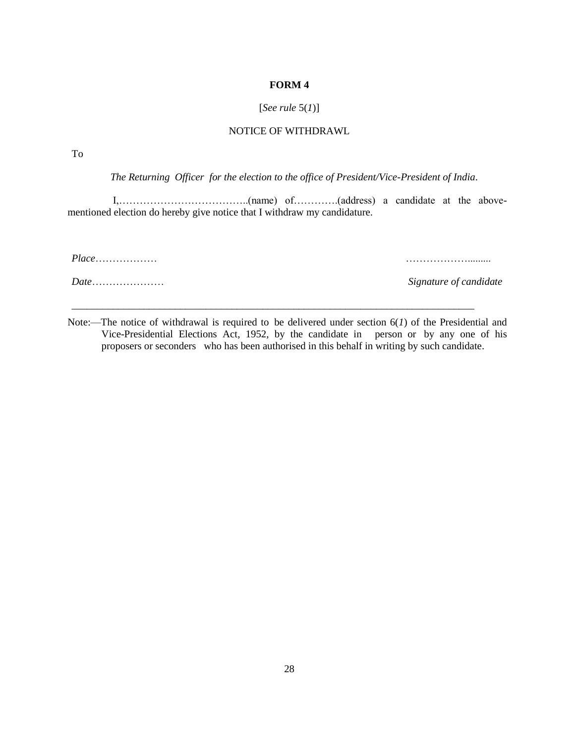# [*See rule* 5(*1*)]

## NOTICE OF WITHDRAWL

To

*The Returning Officer for the election to the office of President/Vice-President of India*.

 I,………………………………..(name) of………….(address) a candidate at the abovementioned election do hereby give notice that I withdraw my candidature.

*Place*……………… ……………….........

*Date*………………… *Signature of candidate*

Note:—The notice of withdrawal is required to be delivered under section 6(*1*) of the Presidential and Vice-Presidential Elections Act, 1952, by the candidate in person or by any one of his proposers or seconders who has been authorised in this behalf in writing by such candidate.

\_\_\_\_\_\_\_\_\_\_\_\_\_\_\_\_\_\_\_\_\_\_\_\_\_\_\_\_\_\_\_\_\_\_\_\_\_\_\_\_\_\_\_\_\_\_\_\_\_\_\_\_\_\_\_\_\_\_\_\_\_\_\_\_\_\_\_\_\_\_\_\_\_\_\_\_\_\_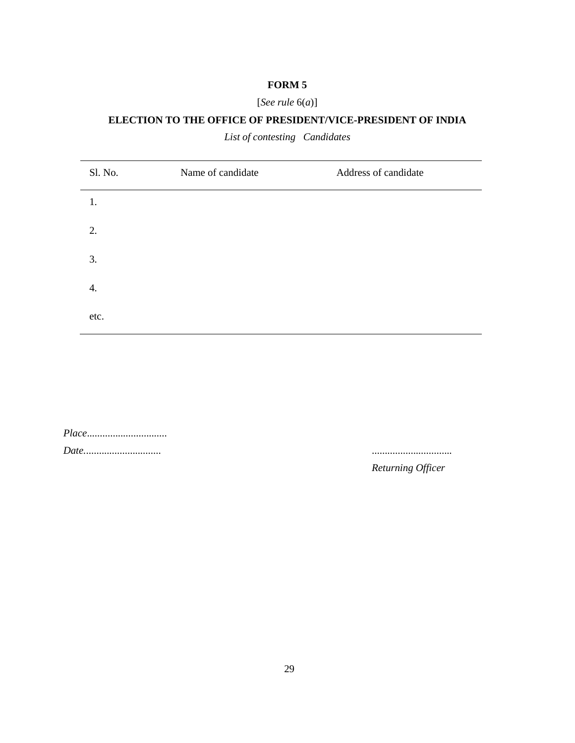# [*See rule* 6(*a*)]

# **ELECTION TO THE OFFICE OF PRESIDENT/VICE-PRESIDENT OF INDIA**

*List of contesting Candidates*

| Sl. No. | Name of candidate | Address of candidate |
|---------|-------------------|----------------------|
| 1.      |                   |                      |
| 2.      |                   |                      |
| 3.      |                   |                      |
| 4.      |                   |                      |
| etc.    |                   |                      |

| <i>Place</i> |  |  |  |  |  |  |  |  |
|--------------|--|--|--|--|--|--|--|--|
|              |  |  |  |  |  |  |  |  |

*Date.*............................. ...............................

*Returning Officer*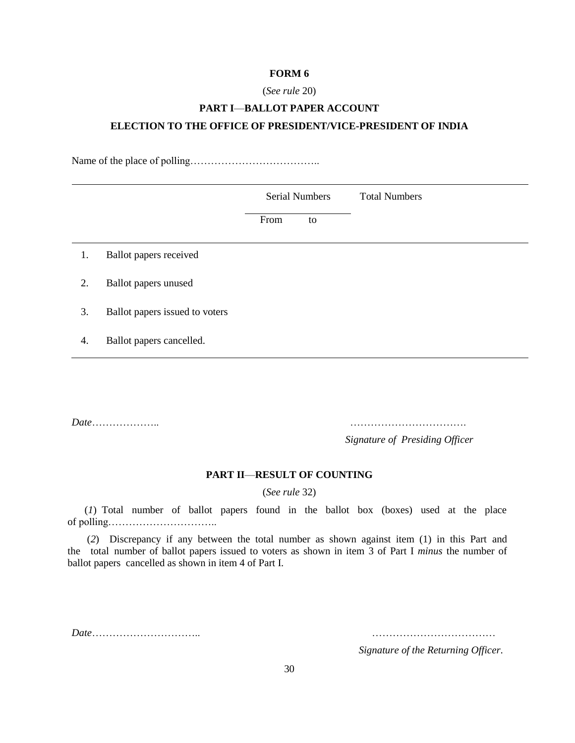## (*See rule* 20)

# **PART I**—**BALLOT PAPER ACCOUNT ELECTION TO THE OFFICE OF PRESIDENT/VICE-PRESIDENT OF INDIA**

Name of the place of polling………………………………..

|    |                                |      | <b>Serial Numbers</b> | <b>Total Numbers</b> |
|----|--------------------------------|------|-----------------------|----------------------|
|    |                                | From | to                    |                      |
| 1. | Ballot papers received         |      |                       |                      |
| 2. | <b>Ballot</b> papers unused    |      |                       |                      |
| 3. | Ballot papers issued to voters |      |                       |                      |
| 4. | Ballot papers cancelled.       |      |                       |                      |

*Date*……………….. …………………………….

*Signature of Presiding Officer*

# **PART II**—**RESULT OF COUNTING**

(*See rule* 32)

(*1*) Total number of ballot papers found in the ballot box (boxes) used at the place of polling…………………………..

(*2*) Discrepancy if any between the total number as shown against item (1) in this Part and the total number of ballot papers issued to voters as shown in item 3 of Part I *minus* the number of ballot papers cancelled as shown in item 4 of Part I.

*Date*………………………….. ………………………………

*Signature of the Returning Officer*.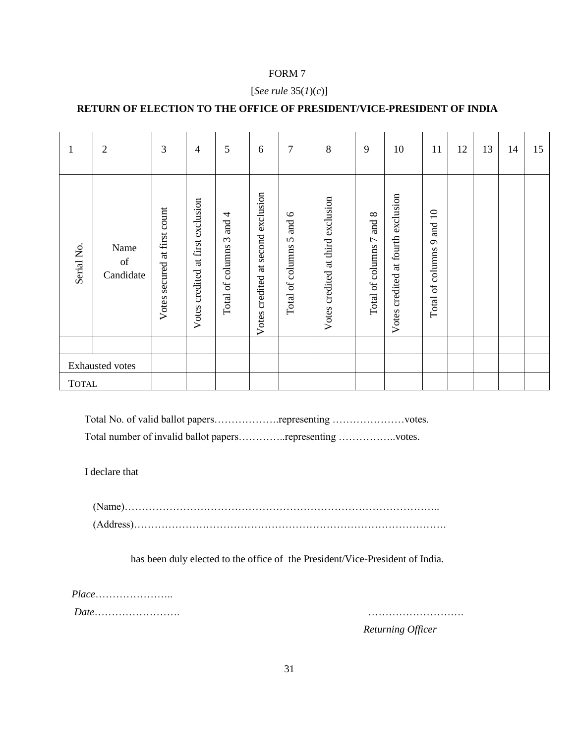## [*See rule* 35(*1*)(*c*)]

# **RETURN OF ELECTION TO THE OFFICE OF PRESIDENT/VICE-PRESIDENT OF INDIA**

| 1               | $\overline{2}$                  | 3                            | 4                                       | 5                                                  | 6                                        | $\overline{7}$                                 | 8                                    | 9                                     | 10                                 | 11                                                     | 12 | 13 | 14 | 15 |
|-----------------|---------------------------------|------------------------------|-----------------------------------------|----------------------------------------------------|------------------------------------------|------------------------------------------------|--------------------------------------|---------------------------------------|------------------------------------|--------------------------------------------------------|----|----|----|----|
| Serial No.      | Name<br>$\sigma f$<br>Candidate | Votes secured at first count | at first exclusion<br>credited<br>Votes | 4<br>and<br>$\tilde{\epsilon}$<br>Total of columns | exclusion<br>second<br>Votes credited at | $\circ$<br>and<br>$\Omega$<br>Total of columns | at third exclusion<br>Votes credited | $\infty$<br>and<br>Total of columns 7 | Votes credited at fourth exclusion | $\overline{10}$<br>and<br>$\sigma$<br>Total of columns |    |    |    |    |
|                 |                                 |                              |                                         |                                                    |                                          |                                                |                                      |                                       |                                    |                                                        |    |    |    |    |
| Exhausted votes |                                 |                              |                                         |                                                    |                                          |                                                |                                      |                                       |                                    |                                                        |    |    |    |    |
| <b>TOTAL</b>    |                                 |                              |                                         |                                                    |                                          |                                                |                                      |                                       |                                    |                                                        |    |    |    |    |

Total No. of valid ballot papers……………….representing …………………votes.

Total number of invalid ballot papers…………..representing ……………..votes.

I declare that

(Name)……………………………………………………………………………….. (Address)……………………………………………………………………………….

has been duly elected to the office of the President/Vice-President of India.

*Place*………………….. *Date*……………………. ……………………….

*Returning Officer*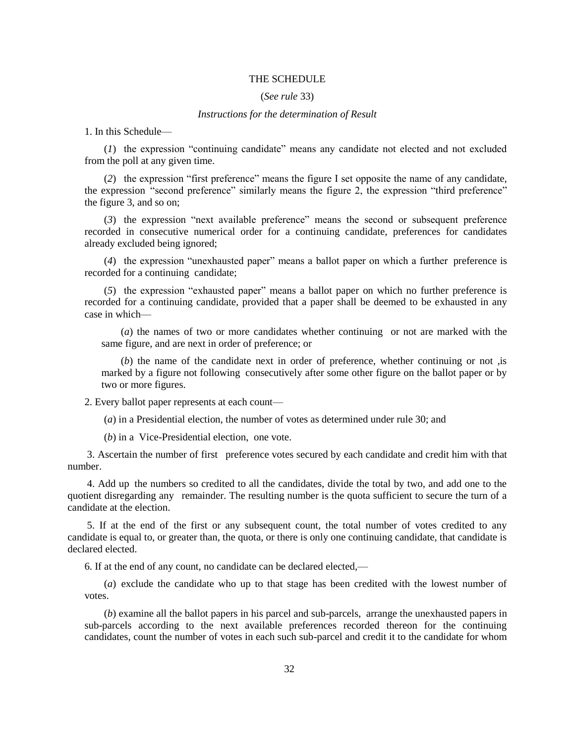### THE SCHEDULE

### (*See rule* 33)

#### *Instructions for the determination of Result*

1. In this Schedule—

(*1*) the expression "continuing candidate" means any candidate not elected and not excluded from the poll at any given time.

(*2*) the expression "first preference" means the figure I set opposite the name of any candidate, the expression "second preference" similarly means the figure 2, the expression "third preference" the figure 3, and so on;

(*3*) the expression "next available preference" means the second or subsequent preference recorded in consecutive numerical order for a continuing candidate, preferences for candidates already excluded being ignored;

(*4*) the expression "unexhausted paper" means a ballot paper on which a further preference is recorded for a continuing candidate;

(*5*) the expression "exhausted paper" means a ballot paper on which no further preference is recorded for a continuing candidate, provided that a paper shall be deemed to be exhausted in any case in which—

(*a*) the names of two or more candidates whether continuing or not are marked with the same figure, and are next in order of preference; or

(*b*) the name of the candidate next in order of preference, whether continuing or not ,is marked by a figure not following consecutively after some other figure on the ballot paper or by two or more figures.

2. Every ballot paper represents at each count—

(*a*) in a Presidential election, the number of votes as determined under rule 30; and

(*b*) in a Vice-Presidential election, one vote.

3. Ascertain the number of first preference votes secured by each candidate and credit him with that number.

4. Add up the numbers so credited to all the candidates, divide the total by two, and add one to the quotient disregarding any remainder. The resulting number is the quota sufficient to secure the turn of a candidate at the election.

5. If at the end of the first or any subsequent count, the total number of votes credited to any candidate is equal to, or greater than, the quota, or there is only one continuing candidate, that candidate is declared elected.

6. If at the end of any count, no candidate can be declared elected,—

(*a*) exclude the candidate who up to that stage has been credited with the lowest number of votes.

(*b*) examine all the ballot papers in his parcel and sub-parcels, arrange the unexhausted papers in sub-parcels according to the next available preferences recorded thereon for the continuing candidates, count the number of votes in each such sub-parcel and credit it to the candidate for whom